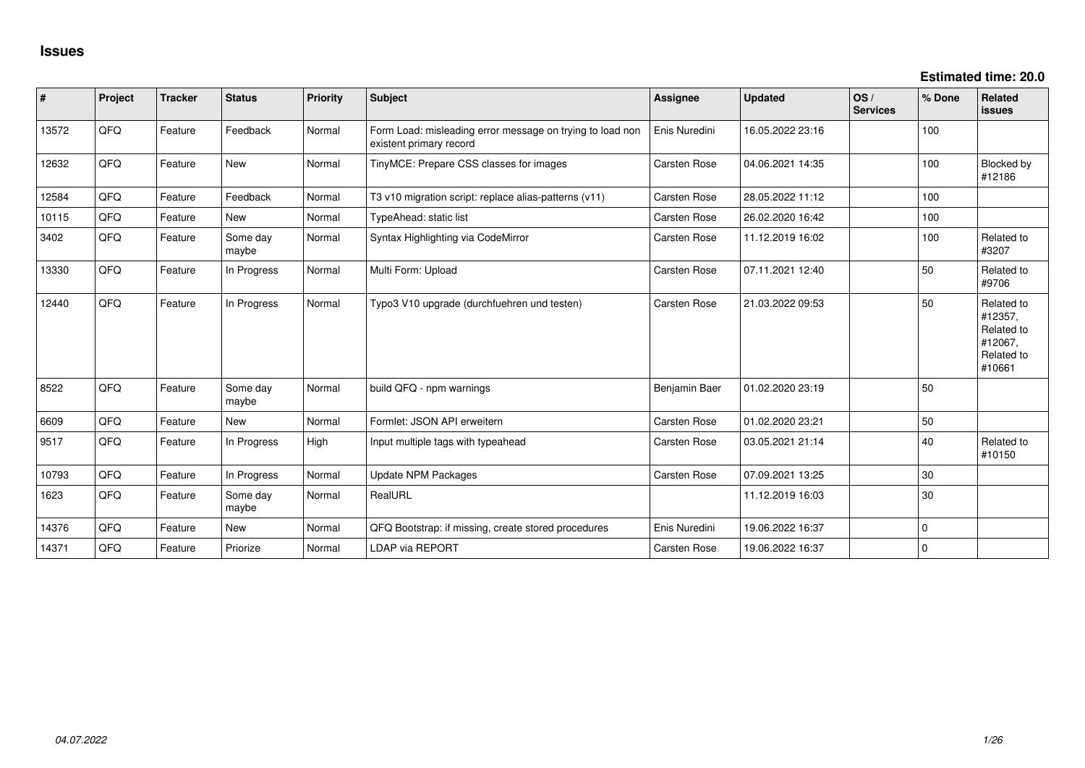**Estimated time: 20.0**

| #     | Project | <b>Tracker</b> | <b>Status</b>     | <b>Priority</b> | <b>Subject</b>                                                                       | <b>Assignee</b>     | <b>Updated</b>   | OS/<br><b>Services</b> | % Done      | <b>Related</b><br>issues                                               |
|-------|---------|----------------|-------------------|-----------------|--------------------------------------------------------------------------------------|---------------------|------------------|------------------------|-------------|------------------------------------------------------------------------|
| 13572 | QFQ     | Feature        | Feedback          | Normal          | Form Load: misleading error message on trying to load non<br>existent primary record | Enis Nuredini       | 16.05.2022 23:16 |                        | 100         |                                                                        |
| 12632 | QFQ     | Feature        | <b>New</b>        | Normal          | TinyMCE: Prepare CSS classes for images                                              | Carsten Rose        | 04.06.2021 14:35 |                        | 100         | Blocked by<br>#12186                                                   |
| 12584 | QFQ     | Feature        | Feedback          | Normal          | T3 v10 migration script: replace alias-patterns (v11)                                | <b>Carsten Rose</b> | 28.05.2022 11:12 |                        | 100         |                                                                        |
| 10115 | QFQ     | Feature        | <b>New</b>        | Normal          | TypeAhead: static list                                                               | Carsten Rose        | 26.02.2020 16:42 |                        | 100         |                                                                        |
| 3402  | QFQ     | Feature        | Some day<br>maybe | Normal          | Syntax Highlighting via CodeMirror                                                   | Carsten Rose        | 11.12.2019 16:02 |                        | 100         | Related to<br>#3207                                                    |
| 13330 | QFQ     | Feature        | In Progress       | Normal          | Multi Form: Upload                                                                   | Carsten Rose        | 07.11.2021 12:40 |                        | 50          | Related to<br>#9706                                                    |
| 12440 | QFQ     | Feature        | In Progress       | Normal          | Typo3 V10 upgrade (durchfuehren und testen)                                          | Carsten Rose        | 21.03.2022 09:53 |                        | 50          | Related to<br>#12357.<br>Related to<br>#12067,<br>Related to<br>#10661 |
| 8522  | QFQ     | Feature        | Some day<br>maybe | Normal          | build QFQ - npm warnings                                                             | Benjamin Baer       | 01.02.2020 23:19 |                        | 50          |                                                                        |
| 6609  | QFQ     | Feature        | <b>New</b>        | Normal          | Formlet: JSON API erweitern                                                          | Carsten Rose        | 01.02.2020 23:21 |                        | 50          |                                                                        |
| 9517  | QFQ     | Feature        | In Progress       | High            | Input multiple tags with typeahead                                                   | Carsten Rose        | 03.05.2021 21:14 |                        | 40          | Related to<br>#10150                                                   |
| 10793 | QFQ     | Feature        | In Progress       | Normal          | <b>Update NPM Packages</b>                                                           | <b>Carsten Rose</b> | 07.09.2021 13:25 |                        | 30          |                                                                        |
| 1623  | QFQ     | Feature        | Some day<br>maybe | Normal          | RealURL                                                                              |                     | 11.12.2019 16:03 |                        | 30          |                                                                        |
| 14376 | QFQ     | Feature        | <b>New</b>        | Normal          | QFQ Bootstrap: if missing, create stored procedures                                  | Enis Nuredini       | 19.06.2022 16:37 |                        | $\mathbf 0$ |                                                                        |
| 14371 | QFQ     | Feature        | Priorize          | Normal          | <b>LDAP via REPORT</b>                                                               | Carsten Rose        | 19.06.2022 16:37 |                        | $\mathbf 0$ |                                                                        |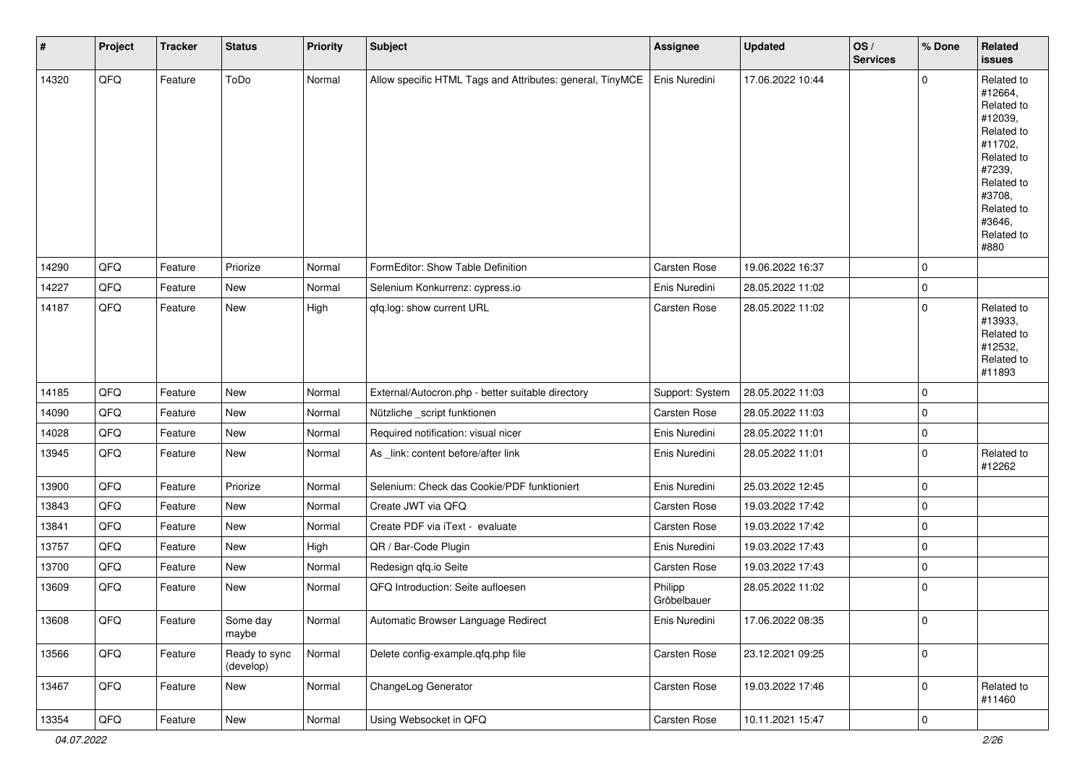| $\pmb{\#}$ | Project | <b>Tracker</b> | <b>Status</b>              | <b>Priority</b> | <b>Subject</b>                                            | <b>Assignee</b>        | <b>Updated</b>   | OS/<br><b>Services</b> | % Done                   | Related<br><b>issues</b>                                                                                                                                              |
|------------|---------|----------------|----------------------------|-----------------|-----------------------------------------------------------|------------------------|------------------|------------------------|--------------------------|-----------------------------------------------------------------------------------------------------------------------------------------------------------------------|
| 14320      | QFQ     | Feature        | ToDo                       | Normal          | Allow specific HTML Tags and Attributes: general, TinyMCE | Enis Nuredini          | 17.06.2022 10:44 |                        | $\mathbf 0$              | Related to<br>#12664,<br>Related to<br>#12039,<br>Related to<br>#11702,<br>Related to<br>#7239,<br>Related to<br>#3708,<br>Related to<br>#3646,<br>Related to<br>#880 |
| 14290      | QFQ     | Feature        | Priorize                   | Normal          | FormEditor: Show Table Definition                         | Carsten Rose           | 19.06.2022 16:37 |                        | $\mathbf 0$              |                                                                                                                                                                       |
| 14227      | QFQ     | Feature        | New                        | Normal          | Selenium Konkurrenz: cypress.io                           | Enis Nuredini          | 28.05.2022 11:02 |                        | 0                        |                                                                                                                                                                       |
| 14187      | QFQ     | Feature        | New                        | High            | qfq.log: show current URL                                 | Carsten Rose           | 28.05.2022 11:02 |                        | $\mathbf 0$              | Related to<br>#13933,<br>Related to<br>#12532,<br>Related to<br>#11893                                                                                                |
| 14185      | QFQ     | Feature        | New                        | Normal          | External/Autocron.php - better suitable directory         | Support: System        | 28.05.2022 11:03 |                        | $\mathbf 0$              |                                                                                                                                                                       |
| 14090      | QFQ     | Feature        | New                        | Normal          | Nützliche _script funktionen                              | Carsten Rose           | 28.05.2022 11:03 |                        | 0                        |                                                                                                                                                                       |
| 14028      | QFQ     | Feature        | New                        | Normal          | Required notification: visual nicer                       | Enis Nuredini          | 28.05.2022 11:01 |                        | $\mathbf 0$              |                                                                                                                                                                       |
| 13945      | QFQ     | Feature        | New                        | Normal          | As _link: content before/after link                       | Enis Nuredini          | 28.05.2022 11:01 |                        | $\mathbf 0$              | Related to<br>#12262                                                                                                                                                  |
| 13900      | QFQ     | Feature        | Priorize                   | Normal          | Selenium: Check das Cookie/PDF funktioniert               | Enis Nuredini          | 25.03.2022 12:45 |                        | 0                        |                                                                                                                                                                       |
| 13843      | QFQ     | Feature        | New                        | Normal          | Create JWT via QFQ                                        | Carsten Rose           | 19.03.2022 17:42 |                        | $\mathbf 0$              |                                                                                                                                                                       |
| 13841      | QFQ     | Feature        | New                        | Normal          | Create PDF via iText - evaluate                           | Carsten Rose           | 19.03.2022 17:42 |                        | 0                        |                                                                                                                                                                       |
| 13757      | QFQ     | Feature        | New                        | High            | QR / Bar-Code Plugin                                      | Enis Nuredini          | 19.03.2022 17:43 |                        | $\mathbf 0$              |                                                                                                                                                                       |
| 13700      | QFQ     | Feature        | New                        | Normal          | Redesign qfq.io Seite                                     | Carsten Rose           | 19.03.2022 17:43 |                        | 0                        |                                                                                                                                                                       |
| 13609      | QFQ     | Feature        | New                        | Normal          | QFQ Introduction: Seite aufloesen                         | Philipp<br>Gröbelbauer | 28.05.2022 11:02 |                        | $\mathbf 0$              |                                                                                                                                                                       |
| 13608      | QFG     | Feature        | Some day<br>maybe          | Normal          | Automatic Browser Language Redirect                       | Enis Nuredini          | 17.06.2022 08:35 |                        | 0                        |                                                                                                                                                                       |
| 13566      | QFQ     | Feature        | Ready to sync<br>(develop) | Normal          | Delete config-example.qfq.php file                        | Carsten Rose           | 23.12.2021 09:25 |                        | $\mathbf 0$              |                                                                                                                                                                       |
| 13467      | QFQ     | Feature        | New                        | Normal          | ChangeLog Generator                                       | Carsten Rose           | 19.03.2022 17:46 |                        | $\mathbf 0$              | Related to<br>#11460                                                                                                                                                  |
| 13354      | QFG     | Feature        | New                        | Normal          | Using Websocket in QFQ                                    | Carsten Rose           | 10.11.2021 15:47 |                        | $\overline{\phantom{0}}$ |                                                                                                                                                                       |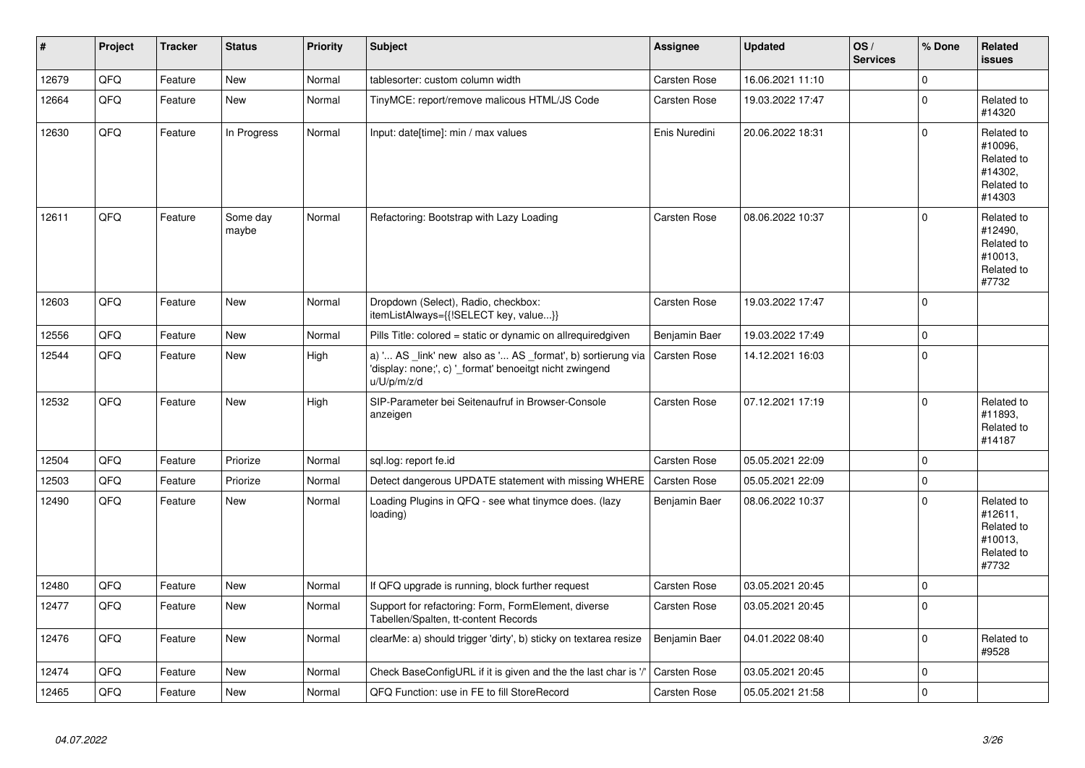| ∦     | Project | <b>Tracker</b> | <b>Status</b>     | <b>Priority</b> | <b>Subject</b>                                                                                                                        | Assignee            | <b>Updated</b>   | OS/<br><b>Services</b> | % Done         | <b>Related</b><br><b>issues</b>                                        |
|-------|---------|----------------|-------------------|-----------------|---------------------------------------------------------------------------------------------------------------------------------------|---------------------|------------------|------------------------|----------------|------------------------------------------------------------------------|
| 12679 | QFQ     | Feature        | <b>New</b>        | Normal          | tablesorter: custom column width                                                                                                      | Carsten Rose        | 16.06.2021 11:10 |                        | 0              |                                                                        |
| 12664 | QFQ     | Feature        | New               | Normal          | TinyMCE: report/remove malicous HTML/JS Code                                                                                          | Carsten Rose        | 19.03.2022 17:47 |                        | 0              | Related to<br>#14320                                                   |
| 12630 | QFQ     | Feature        | In Progress       | Normal          | Input: date[time]: min / max values                                                                                                   | Enis Nuredini       | 20.06.2022 18:31 |                        | $\mathbf 0$    | Related to<br>#10096,<br>Related to<br>#14302,<br>Related to<br>#14303 |
| 12611 | QFQ     | Feature        | Some day<br>maybe | Normal          | Refactoring: Bootstrap with Lazy Loading                                                                                              | Carsten Rose        | 08.06.2022 10:37 |                        | $\Omega$       | Related to<br>#12490.<br>Related to<br>#10013,<br>Related to<br>#7732  |
| 12603 | QFQ     | Feature        | <b>New</b>        | Normal          | Dropdown (Select), Radio, checkbox:<br>itemListAlways={{!SELECT key, value}}                                                          | Carsten Rose        | 19.03.2022 17:47 |                        | $\Omega$       |                                                                        |
| 12556 | QFQ     | Feature        | <b>New</b>        | Normal          | Pills Title: colored = static or dynamic on allrequiredgiven                                                                          | Benjamin Baer       | 19.03.2022 17:49 |                        | $\mathbf 0$    |                                                                        |
| 12544 | QFQ     | Feature        | <b>New</b>        | High            | a) ' AS _link' new also as ' AS _format', b) sortierung via<br>'display: none;', c) '_format' benoeitgt nicht zwingend<br>u/U/p/m/z/d | Carsten Rose        | 14.12.2021 16:03 |                        | $\Omega$       |                                                                        |
| 12532 | QFQ     | Feature        | New               | High            | SIP-Parameter bei Seitenaufruf in Browser-Console<br>anzeigen                                                                         | Carsten Rose        | 07.12.2021 17:19 |                        | 0              | Related to<br>#11893,<br>Related to<br>#14187                          |
| 12504 | QFQ     | Feature        | Priorize          | Normal          | sql.log: report fe.id                                                                                                                 | <b>Carsten Rose</b> | 05.05.2021 22:09 |                        | $\mathbf 0$    |                                                                        |
| 12503 | QFQ     | Feature        | Priorize          | Normal          | Detect dangerous UPDATE statement with missing WHERE                                                                                  | Carsten Rose        | 05.05.2021 22:09 |                        | $\overline{0}$ |                                                                        |
| 12490 | QFQ     | Feature        | New               | Normal          | Loading Plugins in QFQ - see what tinymce does. (lazy<br>loading)                                                                     | Benjamin Baer       | 08.06.2022 10:37 |                        | $\Omega$       | Related to<br>#12611,<br>Related to<br>#10013,<br>Related to<br>#7732  |
| 12480 | QFQ     | Feature        | <b>New</b>        | Normal          | If QFQ upgrade is running, block further request                                                                                      | Carsten Rose        | 03.05.2021 20:45 |                        | 0              |                                                                        |
| 12477 | QFQ     | Feature        | New               | Normal          | Support for refactoring: Form, FormElement, diverse<br>Tabellen/Spalten, tt-content Records                                           | Carsten Rose        | 03.05.2021 20:45 |                        | $\mathbf 0$    |                                                                        |
| 12476 | QFQ     | Feature        | New               | Normal          | clearMe: a) should trigger 'dirty', b) sticky on textarea resize                                                                      | Benjamin Baer       | 04.01.2022 08:40 |                        | 0              | Related to<br>#9528                                                    |
| 12474 | QFQ     | Feature        | New               | Normal          | Check BaseConfigURL if it is given and the the last char is '/                                                                        | Carsten Rose        | 03.05.2021 20:45 |                        | 0              |                                                                        |
| 12465 | QFQ     | Feature        | <b>New</b>        | Normal          | QFQ Function: use in FE to fill StoreRecord                                                                                           | Carsten Rose        | 05.05.2021 21:58 |                        | $\mathbf 0$    |                                                                        |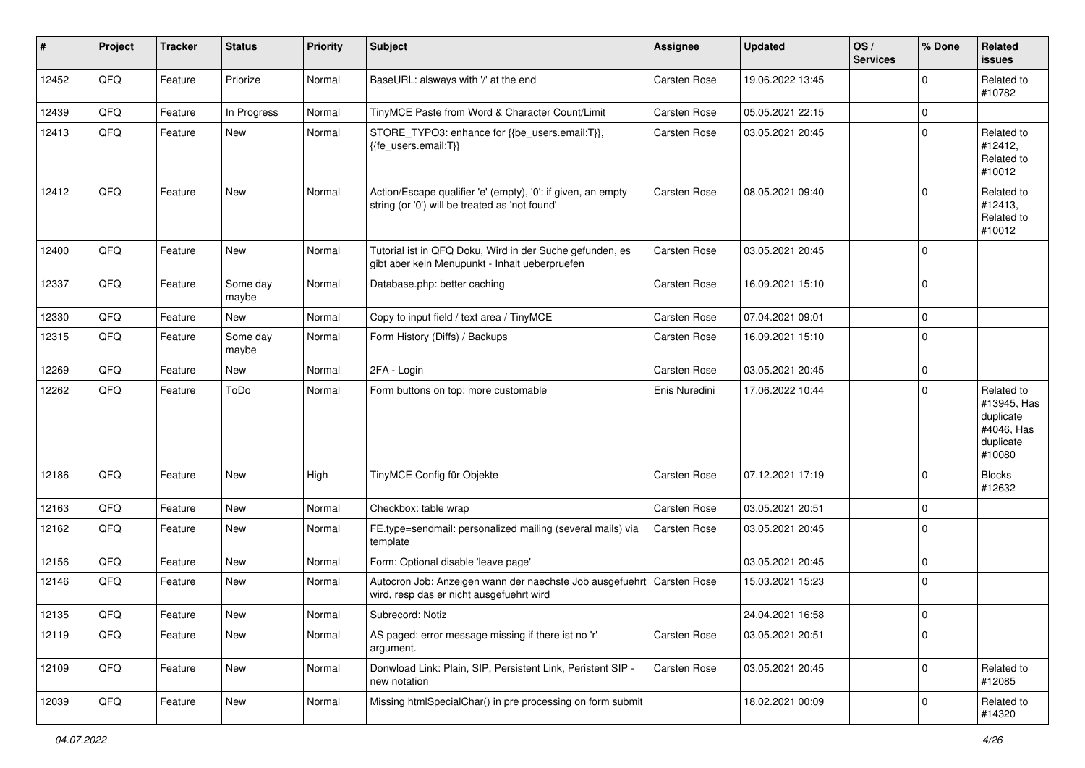| #     | Project | <b>Tracker</b> | <b>Status</b>     | <b>Priority</b> | <b>Subject</b>                                                                                                 | <b>Assignee</b> | <b>Updated</b>   | OS/<br><b>Services</b> | % Done              | Related<br><b>issues</b>                                                    |
|-------|---------|----------------|-------------------|-----------------|----------------------------------------------------------------------------------------------------------------|-----------------|------------------|------------------------|---------------------|-----------------------------------------------------------------------------|
| 12452 | QFQ     | Feature        | Priorize          | Normal          | BaseURL: alsways with '/' at the end                                                                           | Carsten Rose    | 19.06.2022 13:45 |                        | 0                   | Related to<br>#10782                                                        |
| 12439 | QFQ     | Feature        | In Progress       | Normal          | TinyMCE Paste from Word & Character Count/Limit                                                                | Carsten Rose    | 05.05.2021 22:15 |                        | 0                   |                                                                             |
| 12413 | QFQ     | Feature        | New               | Normal          | STORE_TYPO3: enhance for {{be_users.email:T}},<br>{{fe users.email:T}}                                         | Carsten Rose    | 03.05.2021 20:45 |                        | 0                   | Related to<br>#12412,<br>Related to<br>#10012                               |
| 12412 | QFQ     | Feature        | <b>New</b>        | Normal          | Action/Escape qualifier 'e' (empty), '0': if given, an empty<br>string (or '0') will be treated as 'not found' | Carsten Rose    | 08.05.2021 09:40 |                        | 0                   | Related to<br>#12413,<br>Related to<br>#10012                               |
| 12400 | QFQ     | Feature        | <b>New</b>        | Normal          | Tutorial ist in QFQ Doku, Wird in der Suche gefunden, es<br>gibt aber kein Menupunkt - Inhalt ueberpruefen     | Carsten Rose    | 03.05.2021 20:45 |                        | 0                   |                                                                             |
| 12337 | QFQ     | Feature        | Some day<br>maybe | Normal          | Database.php: better caching                                                                                   | Carsten Rose    | 16.09.2021 15:10 |                        | 0                   |                                                                             |
| 12330 | QFQ     | Feature        | New               | Normal          | Copy to input field / text area / TinyMCE                                                                      | Carsten Rose    | 07.04.2021 09:01 |                        | 0                   |                                                                             |
| 12315 | QFQ     | Feature        | Some day<br>maybe | Normal          | Form History (Diffs) / Backups                                                                                 | Carsten Rose    | 16.09.2021 15:10 |                        | 0                   |                                                                             |
| 12269 | QFQ     | Feature        | New               | Normal          | 2FA - Login                                                                                                    | Carsten Rose    | 03.05.2021 20:45 |                        | 0                   |                                                                             |
| 12262 | QFQ     | Feature        | ToDo              | Normal          | Form buttons on top: more customable                                                                           | Enis Nuredini   | 17.06.2022 10:44 |                        | 0                   | Related to<br>#13945, Has<br>duplicate<br>#4046, Has<br>duplicate<br>#10080 |
| 12186 | QFQ     | Feature        | <b>New</b>        | High            | TinyMCE Config für Objekte                                                                                     | Carsten Rose    | 07.12.2021 17:19 |                        | 0                   | <b>Blocks</b><br>#12632                                                     |
| 12163 | QFQ     | Feature        | <b>New</b>        | Normal          | Checkbox: table wrap                                                                                           | Carsten Rose    | 03.05.2021 20:51 |                        | 0                   |                                                                             |
| 12162 | QFQ     | Feature        | New               | Normal          | FE.type=sendmail: personalized mailing (several mails) via<br>template                                         | Carsten Rose    | 03.05.2021 20:45 |                        | $\Omega$            |                                                                             |
| 12156 | QFQ     | Feature        | <b>New</b>        | Normal          | Form: Optional disable 'leave page'                                                                            |                 | 03.05.2021 20:45 |                        | 0                   |                                                                             |
| 12146 | QFQ     | Feature        | New               | Normal          | Autocron Job: Anzeigen wann der naechste Job ausgefuehrt<br>wird, resp das er nicht ausgefuehrt wird           | Carsten Rose    | 15.03.2021 15:23 |                        | 0                   |                                                                             |
| 12135 | QFQ     | Feature        | New               | Normal          | Subrecord: Notiz                                                                                               |                 | 24.04.2021 16:58 |                        | $\mathsf{O}\xspace$ |                                                                             |
| 12119 | QFQ     | Feature        | New               | Normal          | AS paged: error message missing if there ist no 'r'<br>argument.                                               | Carsten Rose    | 03.05.2021 20:51 |                        | 0                   |                                                                             |
| 12109 | QFQ     | Feature        | New               | Normal          | Donwload Link: Plain, SIP, Persistent Link, Peristent SIP -<br>new notation                                    | Carsten Rose    | 03.05.2021 20:45 |                        | 0                   | Related to<br>#12085                                                        |
| 12039 | QFQ     | Feature        | New               | Normal          | Missing htmlSpecialChar() in pre processing on form submit                                                     |                 | 18.02.2021 00:09 |                        | 0                   | Related to<br>#14320                                                        |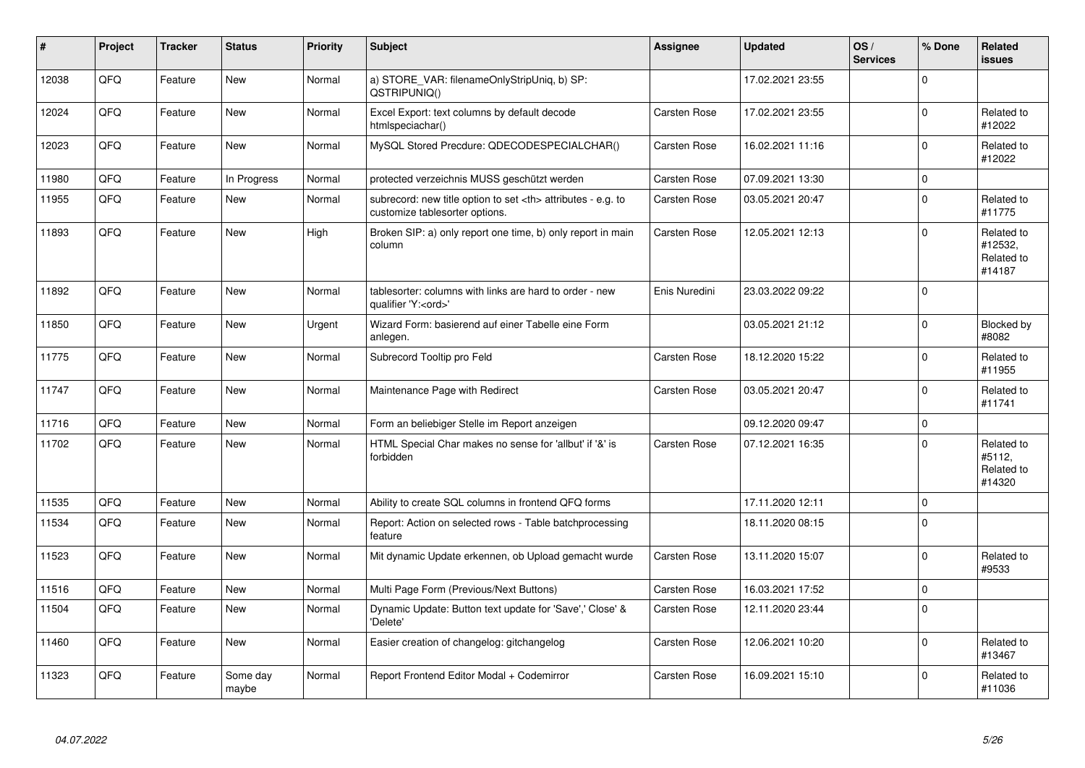| #     | Project | <b>Tracker</b> | <b>Status</b>     | <b>Priority</b> | <b>Subject</b>                                                                                       | <b>Assignee</b>                                        | <b>Updated</b>   | OS/<br><b>Services</b> | % Done         | <b>Related</b><br><b>issues</b>               |                      |
|-------|---------|----------------|-------------------|-----------------|------------------------------------------------------------------------------------------------------|--------------------------------------------------------|------------------|------------------------|----------------|-----------------------------------------------|----------------------|
| 12038 | QFQ     | Feature        | <b>New</b>        | Normal          | a) STORE_VAR: filenameOnlyStripUniq, b) SP:<br>QSTRIPUNIQ()                                          |                                                        | 17.02.2021 23:55 |                        | $\Omega$       |                                               |                      |
| 12024 | QFQ     | Feature        | <b>New</b>        | Normal          | Excel Export: text columns by default decode<br>htmlspeciachar()                                     | Carsten Rose                                           | 17.02.2021 23:55 |                        | 0              | Related to<br>#12022                          |                      |
| 12023 | QFQ     | Feature        | New               | Normal          | MySQL Stored Precdure: QDECODESPECIALCHAR()                                                          | Carsten Rose                                           | 16.02.2021 11:16 |                        | 0              | Related to<br>#12022                          |                      |
| 11980 | QFQ     | Feature        | In Progress       | Normal          | protected verzeichnis MUSS geschützt werden                                                          | Carsten Rose                                           | 07.09.2021 13:30 |                        | 0              |                                               |                      |
| 11955 | QFQ     | Feature        | New               | Normal          | subrecord: new title option to set <th> attributes - e.g. to<br/>customize tablesorter options.</th> | attributes - e.g. to<br>customize tablesorter options. | Carsten Rose     | 03.05.2021 20:47       |                | $\mathbf 0$                                   | Related to<br>#11775 |
| 11893 | QFQ     | Feature        | <b>New</b>        | High            | Broken SIP: a) only report one time, b) only report in main<br>column                                | Carsten Rose                                           | 12.05.2021 12:13 |                        | 0              | Related to<br>#12532,<br>Related to<br>#14187 |                      |
| 11892 | QFQ     | Feature        | New               | Normal          | tablesorter: columns with links are hard to order - new<br>qualifier 'Y: <ord>'</ord>                | Enis Nuredini                                          | 23.03.2022 09:22 |                        | 0              |                                               |                      |
| 11850 | QFQ     | Feature        | New               | Urgent          | Wizard Form: basierend auf einer Tabelle eine Form<br>anlegen.                                       |                                                        | 03.05.2021 21:12 |                        | 0              | Blocked by<br>#8082                           |                      |
| 11775 | QFQ     | Feature        | New               | Normal          | Subrecord Tooltip pro Feld                                                                           | Carsten Rose                                           | 18.12.2020 15:22 |                        | $\Omega$       | Related to<br>#11955                          |                      |
| 11747 | QFQ     | Feature        | New               | Normal          | Maintenance Page with Redirect                                                                       | Carsten Rose                                           | 03.05.2021 20:47 |                        | 0              | Related to<br>#11741                          |                      |
| 11716 | QFQ     | Feature        | New               | Normal          | Form an beliebiger Stelle im Report anzeigen                                                         |                                                        | 09.12.2020 09:47 |                        | $\mathbf 0$    |                                               |                      |
| 11702 | QFQ     | Feature        | New               | Normal          | HTML Special Char makes no sense for 'allbut' if '&' is<br>forbidden                                 | Carsten Rose                                           | 07.12.2021 16:35 |                        | 0              | Related to<br>#5112,<br>Related to<br>#14320  |                      |
| 11535 | QFQ     | Feature        | New               | Normal          | Ability to create SQL columns in frontend QFQ forms                                                  |                                                        | 17.11.2020 12:11 |                        | $\mathbf 0$    |                                               |                      |
| 11534 | QFQ     | Feature        | New               | Normal          | Report: Action on selected rows - Table batchprocessing<br>feature                                   |                                                        | 18.11.2020 08:15 |                        | $\overline{0}$ |                                               |                      |
| 11523 | QFQ     | Feature        | New               | Normal          | Mit dynamic Update erkennen, ob Upload gemacht wurde                                                 | Carsten Rose                                           | 13.11.2020 15:07 |                        | 0              | Related to<br>#9533                           |                      |
| 11516 | QFQ     | Feature        | <b>New</b>        | Normal          | Multi Page Form (Previous/Next Buttons)                                                              | Carsten Rose                                           | 16.03.2021 17:52 |                        | $\Omega$       |                                               |                      |
| 11504 | QFQ     | Feature        | New               | Normal          | Dynamic Update: Button text update for 'Save',' Close' &<br>'Delete'                                 | Carsten Rose                                           | 12.11.2020 23:44 |                        | $\Omega$       |                                               |                      |
| 11460 | QFQ     | Feature        | New               | Normal          | Easier creation of changelog: gitchangelog                                                           | Carsten Rose                                           | 12.06.2021 10:20 |                        | $\Omega$       | Related to<br>#13467                          |                      |
| 11323 | QFQ     | Feature        | Some day<br>maybe | Normal          | Report Frontend Editor Modal + Codemirror                                                            | Carsten Rose                                           | 16.09.2021 15:10 |                        | 0              | Related to<br>#11036                          |                      |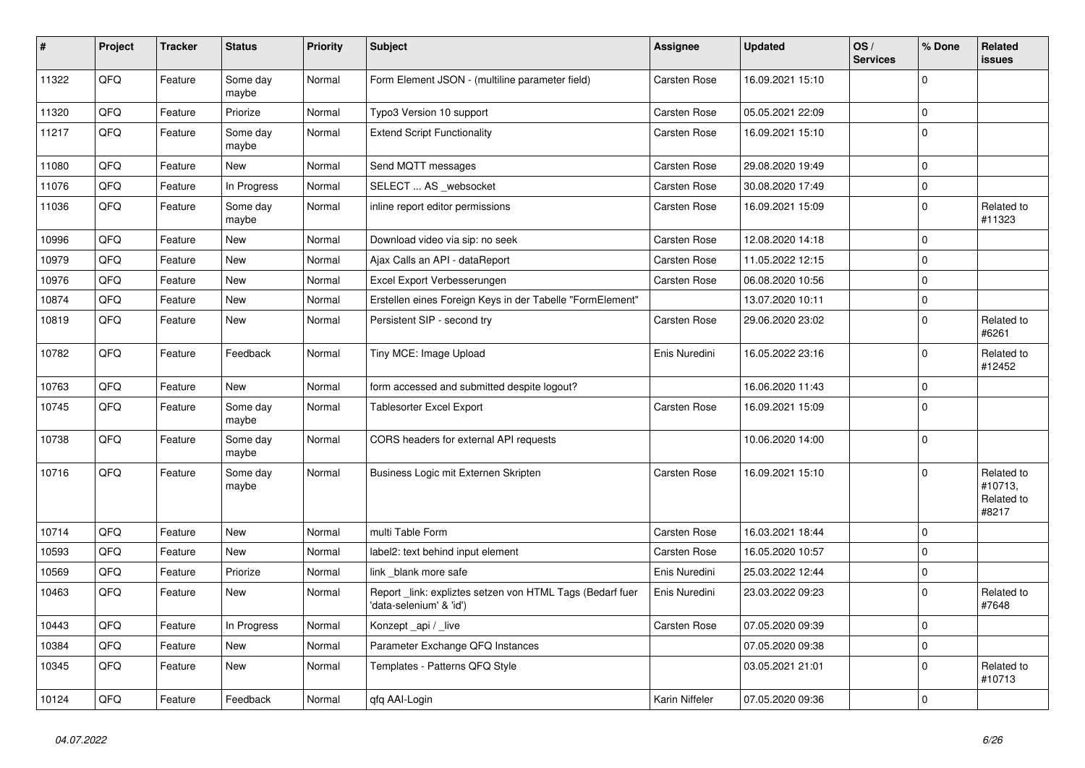| $\vert$ # | Project | <b>Tracker</b> | <b>Status</b>     | <b>Priority</b> | <b>Subject</b>                                                                       | Assignee            | <b>Updated</b>   | OS/<br><b>Services</b> | % Done              | Related<br>issues                            |
|-----------|---------|----------------|-------------------|-----------------|--------------------------------------------------------------------------------------|---------------------|------------------|------------------------|---------------------|----------------------------------------------|
| 11322     | QFQ     | Feature        | Some day<br>maybe | Normal          | Form Element JSON - (multiline parameter field)                                      | Carsten Rose        | 16.09.2021 15:10 |                        | $\mathbf 0$         |                                              |
| 11320     | QFQ     | Feature        | Priorize          | Normal          | Typo3 Version 10 support                                                             | <b>Carsten Rose</b> | 05.05.2021 22:09 |                        | $\mathbf 0$         |                                              |
| 11217     | QFQ     | Feature        | Some day<br>maybe | Normal          | <b>Extend Script Functionality</b>                                                   | Carsten Rose        | 16.09.2021 15:10 |                        | $\mathbf 0$         |                                              |
| 11080     | QFQ     | Feature        | New               | Normal          | Send MQTT messages                                                                   | Carsten Rose        | 29.08.2020 19:49 |                        | 0                   |                                              |
| 11076     | QFQ     | Feature        | In Progress       | Normal          | SELECT  AS websocket                                                                 | Carsten Rose        | 30.08.2020 17:49 |                        | $\pmb{0}$           |                                              |
| 11036     | QFQ     | Feature        | Some day<br>maybe | Normal          | inline report editor permissions                                                     | Carsten Rose        | 16.09.2021 15:09 |                        | $\pmb{0}$           | Related to<br>#11323                         |
| 10996     | QFQ     | Feature        | New               | Normal          | Download video via sip: no seek                                                      | Carsten Rose        | 12.08.2020 14:18 |                        | $\mathbf 0$         |                                              |
| 10979     | QFQ     | Feature        | <b>New</b>        | Normal          | Ajax Calls an API - dataReport                                                       | <b>Carsten Rose</b> | 11.05.2022 12:15 |                        | $\mathbf 0$         |                                              |
| 10976     | QFQ     | Feature        | New               | Normal          | Excel Export Verbesserungen                                                          | Carsten Rose        | 06.08.2020 10:56 |                        | $\pmb{0}$           |                                              |
| 10874     | QFQ     | Feature        | New               | Normal          | Erstellen eines Foreign Keys in der Tabelle "FormElement"                            |                     | 13.07.2020 10:11 |                        | $\mathsf{O}\xspace$ |                                              |
| 10819     | QFQ     | Feature        | New               | Normal          | Persistent SIP - second try                                                          | Carsten Rose        | 29.06.2020 23:02 |                        | $\mathsf{O}\xspace$ | Related to<br>#6261                          |
| 10782     | QFQ     | Feature        | Feedback          | Normal          | Tiny MCE: Image Upload                                                               | Enis Nuredini       | 16.05.2022 23:16 |                        | $\Omega$            | Related to<br>#12452                         |
| 10763     | QFQ     | Feature        | New               | Normal          | form accessed and submitted despite logout?                                          |                     | 16.06.2020 11:43 |                        | 0                   |                                              |
| 10745     | QFQ     | Feature        | Some day<br>maybe | Normal          | <b>Tablesorter Excel Export</b>                                                      | <b>Carsten Rose</b> | 16.09.2021 15:09 |                        | $\pmb{0}$           |                                              |
| 10738     | QFQ     | Feature        | Some day<br>maybe | Normal          | CORS headers for external API requests                                               |                     | 10.06.2020 14:00 |                        | $\mathbf 0$         |                                              |
| 10716     | QFQ     | Feature        | Some day<br>maybe | Normal          | Business Logic mit Externen Skripten                                                 | Carsten Rose        | 16.09.2021 15:10 |                        | 0                   | Related to<br>#10713,<br>Related to<br>#8217 |
| 10714     | QFQ     | Feature        | New               | Normal          | multi Table Form                                                                     | Carsten Rose        | 16.03.2021 18:44 |                        | $\Omega$            |                                              |
| 10593     | QFQ     | Feature        | <b>New</b>        | Normal          | label2: text behind input element                                                    | Carsten Rose        | 16.05.2020 10:57 |                        | 0                   |                                              |
| 10569     | QFQ     | Feature        | Priorize          | Normal          | link _blank more safe                                                                | Enis Nuredini       | 25.03.2022 12:44 |                        | $\pmb{0}$           |                                              |
| 10463     | QFQ     | Feature        | <b>New</b>        | Normal          | Report _link: expliztes setzen von HTML Tags (Bedarf fuer<br>'data-selenium' & 'id') | Enis Nuredini       | 23.03.2022 09:23 |                        | $\mathbf 0$         | Related to<br>#7648                          |
| 10443     | QFQ     | Feature        | In Progress       | Normal          | Konzept_api / _live                                                                  | <b>Carsten Rose</b> | 07.05.2020 09:39 |                        | $\mathbf 0$         |                                              |
| 10384     | QFQ     | Feature        | <b>New</b>        | Normal          | Parameter Exchange QFQ Instances                                                     |                     | 07.05.2020 09:38 |                        | $\mathbf 0$         |                                              |
| 10345     | QFQ     | Feature        | New               | Normal          | Templates - Patterns QFQ Style                                                       |                     | 03.05.2021 21:01 |                        | $\mathbf 0$         | Related to<br>#10713                         |
| 10124     | QFQ     | Feature        | Feedback          | Normal          | qfq AAI-Login                                                                        | Karin Niffeler      | 07.05.2020 09:36 |                        | $\pmb{0}$           |                                              |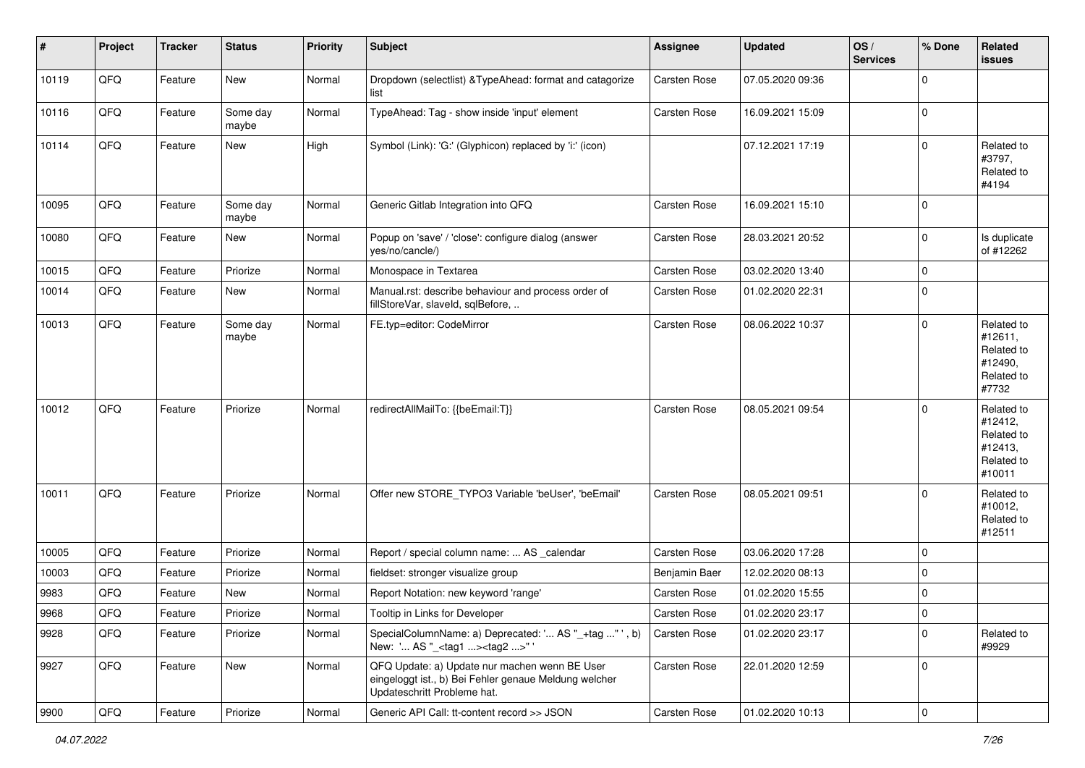| #     | Project | <b>Tracker</b> | <b>Status</b>     | <b>Priority</b> | <b>Subject</b>                                                                                                                        | <b>Assignee</b>     | <b>Updated</b>   | OS/<br><b>Services</b> | % Done      | Related<br><b>issues</b>                                               |
|-------|---------|----------------|-------------------|-----------------|---------------------------------------------------------------------------------------------------------------------------------------|---------------------|------------------|------------------------|-------------|------------------------------------------------------------------------|
| 10119 | QFQ     | Feature        | New               | Normal          | Dropdown (selectlist) & TypeAhead: format and catagorize<br>list                                                                      | Carsten Rose        | 07.05.2020 09:36 |                        | $\Omega$    |                                                                        |
| 10116 | QFQ     | Feature        | Some day<br>maybe | Normal          | TypeAhead: Tag - show inside 'input' element                                                                                          | Carsten Rose        | 16.09.2021 15:09 |                        | $\mathbf 0$ |                                                                        |
| 10114 | QFQ     | Feature        | <b>New</b>        | High            | Symbol (Link): 'G:' (Glyphicon) replaced by 'i:' (icon)                                                                               |                     | 07.12.2021 17:19 |                        | $\Omega$    | Related to<br>#3797,<br>Related to<br>#4194                            |
| 10095 | QFQ     | Feature        | Some day<br>maybe | Normal          | Generic Gitlab Integration into QFQ                                                                                                   | <b>Carsten Rose</b> | 16.09.2021 15:10 |                        | $\Omega$    |                                                                        |
| 10080 | QFQ     | Feature        | New               | Normal          | Popup on 'save' / 'close': configure dialog (answer<br>yes/no/cancle/)                                                                | <b>Carsten Rose</b> | 28.03.2021 20:52 |                        | $\mathbf 0$ | Is duplicate<br>of #12262                                              |
| 10015 | QFQ     | Feature        | Priorize          | Normal          | Monospace in Textarea                                                                                                                 | <b>Carsten Rose</b> | 03.02.2020 13:40 |                        | 0           |                                                                        |
| 10014 | QFQ     | Feature        | New               | Normal          | Manual.rst: describe behaviour and process order of<br>fillStoreVar, slaveId, sqlBefore,                                              | Carsten Rose        | 01.02.2020 22:31 |                        | $\Omega$    |                                                                        |
| 10013 | QFQ     | Feature        | Some day<br>maybe | Normal          | FE.typ=editor: CodeMirror                                                                                                             | Carsten Rose        | 08.06.2022 10:37 |                        | $\Omega$    | Related to<br>#12611,<br>Related to<br>#12490,<br>Related to<br>#7732  |
| 10012 | QFQ     | Feature        | Priorize          | Normal          | redirectAllMailTo: {{beEmail:T}}                                                                                                      | Carsten Rose        | 08.05.2021 09:54 |                        | $\Omega$    | Related to<br>#12412,<br>Related to<br>#12413,<br>Related to<br>#10011 |
| 10011 | QFQ     | Feature        | Priorize          | Normal          | Offer new STORE_TYPO3 Variable 'beUser', 'beEmail'                                                                                    | Carsten Rose        | 08.05.2021 09:51 |                        | $\Omega$    | Related to<br>#10012,<br>Related to<br>#12511                          |
| 10005 | QFQ     | Feature        | Priorize          | Normal          | Report / special column name:  AS _calendar                                                                                           | <b>Carsten Rose</b> | 03.06.2020 17:28 |                        | $\Omega$    |                                                                        |
| 10003 | QFQ     | Feature        | Priorize          | Normal          | fieldset: stronger visualize group                                                                                                    | Benjamin Baer       | 12.02.2020 08:13 |                        | 0           |                                                                        |
| 9983  | QFQ     | Feature        | New               | Normal          | Report Notation: new keyword 'range'                                                                                                  | Carsten Rose        | 01.02.2020 15:55 |                        | $\mathbf 0$ |                                                                        |
| 9968  | QFQ     | Feature        | Priorize          | Normal          | Tooltip in Links for Developer                                                                                                        | Carsten Rose        | 01.02.2020 23:17 |                        | 0           |                                                                        |
| 9928  | QFQ     | Feature        | Priorize          | Normal          | SpecialColumnName: a) Deprecated: ' AS "_+tag " ', b)<br>New: ' AS "_ <tag1><tag2>" '</tag2></tag1>                                   | Carsten Rose        | 01.02.2020 23:17 |                        | $\mathbf 0$ | Related to<br>#9929                                                    |
| 9927  | QFQ     | Feature        | New               | Normal          | QFQ Update: a) Update nur machen wenn BE User<br>eingeloggt ist., b) Bei Fehler genaue Meldung welcher<br>Updateschritt Probleme hat. | Carsten Rose        | 22.01.2020 12:59 |                        | $\mathbf 0$ |                                                                        |
| 9900  | QFQ     | Feature        | Priorize          | Normal          | Generic API Call: tt-content record >> JSON                                                                                           | Carsten Rose        | 01.02.2020 10:13 |                        | $\pmb{0}$   |                                                                        |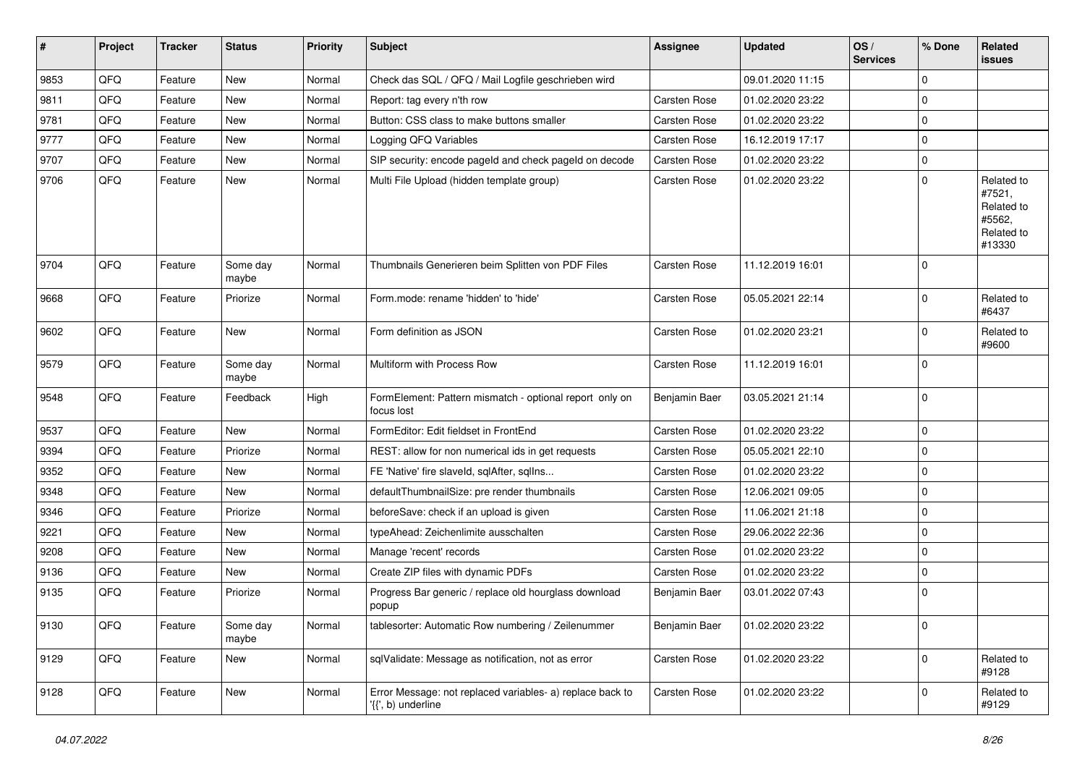| #    | Project | <b>Tracker</b> | <b>Status</b>     | <b>Priority</b> | Subject                                                                         | <b>Assignee</b> | <b>Updated</b>   | OS/<br><b>Services</b> | % Done      | Related<br>issues                                                    |
|------|---------|----------------|-------------------|-----------------|---------------------------------------------------------------------------------|-----------------|------------------|------------------------|-------------|----------------------------------------------------------------------|
| 9853 | QFQ     | Feature        | New               | Normal          | Check das SQL / QFQ / Mail Logfile geschrieben wird                             |                 | 09.01.2020 11:15 |                        | $\mathbf 0$ |                                                                      |
| 9811 | QFQ     | Feature        | New               | Normal          | Report: tag every n'th row                                                      | Carsten Rose    | 01.02.2020 23:22 |                        | 0           |                                                                      |
| 9781 | QFQ     | Feature        | New               | Normal          | Button: CSS class to make buttons smaller                                       | Carsten Rose    | 01.02.2020 23:22 |                        | 0           |                                                                      |
| 9777 | QFQ     | Feature        | New               | Normal          | Logging QFQ Variables                                                           | Carsten Rose    | 16.12.2019 17:17 |                        | $\mathbf 0$ |                                                                      |
| 9707 | QFQ     | Feature        | New               | Normal          | SIP security: encode pageId and check pageId on decode                          | Carsten Rose    | 01.02.2020 23:22 |                        | 0           |                                                                      |
| 9706 | QFQ     | Feature        | New               | Normal          | Multi File Upload (hidden template group)                                       | Carsten Rose    | 01.02.2020 23:22 |                        | $\mathbf 0$ | Related to<br>#7521,<br>Related to<br>#5562,<br>Related to<br>#13330 |
| 9704 | QFQ     | Feature        | Some day<br>maybe | Normal          | Thumbnails Generieren beim Splitten von PDF Files                               | Carsten Rose    | 11.12.2019 16:01 |                        | $\mathbf 0$ |                                                                      |
| 9668 | QFQ     | Feature        | Priorize          | Normal          | Form.mode: rename 'hidden' to 'hide'                                            | Carsten Rose    | 05.05.2021 22:14 |                        | $\mathbf 0$ | Related to<br>#6437                                                  |
| 9602 | QFQ     | Feature        | New               | Normal          | Form definition as JSON                                                         | Carsten Rose    | 01.02.2020 23:21 |                        | 0           | Related to<br>#9600                                                  |
| 9579 | QFQ     | Feature        | Some day<br>maybe | Normal          | Multiform with Process Row                                                      | Carsten Rose    | 11.12.2019 16:01 |                        | $\mathbf 0$ |                                                                      |
| 9548 | QFQ     | Feature        | Feedback          | High            | FormElement: Pattern mismatch - optional report only on<br>focus lost           | Benjamin Baer   | 03.05.2021 21:14 |                        | $\mathbf 0$ |                                                                      |
| 9537 | QFQ     | Feature        | New               | Normal          | FormEditor: Edit fieldset in FrontEnd                                           | Carsten Rose    | 01.02.2020 23:22 |                        | $\Omega$    |                                                                      |
| 9394 | QFQ     | Feature        | Priorize          | Normal          | REST: allow for non numerical ids in get requests                               | Carsten Rose    | 05.05.2021 22:10 |                        | $\mathbf 0$ |                                                                      |
| 9352 | QFQ     | Feature        | New               | Normal          | FE 'Native' fire slaveld, sqlAfter, sqlIns                                      | Carsten Rose    | 01.02.2020 23:22 |                        | 0           |                                                                      |
| 9348 | QFQ     | Feature        | New               | Normal          | defaultThumbnailSize: pre render thumbnails                                     | Carsten Rose    | 12.06.2021 09:05 |                        | 0           |                                                                      |
| 9346 | QFQ     | Feature        | Priorize          | Normal          | beforeSave: check if an upload is given                                         | Carsten Rose    | 11.06.2021 21:18 |                        | $\mathbf 0$ |                                                                      |
| 9221 | QFQ     | Feature        | New               | Normal          | typeAhead: Zeichenlimite ausschalten                                            | Carsten Rose    | 29.06.2022 22:36 |                        | $\mathbf 0$ |                                                                      |
| 9208 | QFQ     | Feature        | New               | Normal          | Manage 'recent' records                                                         | Carsten Rose    | 01.02.2020 23:22 |                        | 0           |                                                                      |
| 9136 | QFQ     | Feature        | New               | Normal          | Create ZIP files with dynamic PDFs                                              | Carsten Rose    | 01.02.2020 23:22 |                        | 0           |                                                                      |
| 9135 | QFQ     | Feature        | Priorize          | Normal          | Progress Bar generic / replace old hourglass download<br>popup                  | Benjamin Baer   | 03.01.2022 07:43 |                        | $\mathbf 0$ |                                                                      |
| 9130 | QFQ     | Feature        | Some day<br>maybe | Normal          | tablesorter: Automatic Row numbering / Zeilenummer                              | Benjamin Baer   | 01.02.2020 23:22 |                        | $\mathsf 0$ |                                                                      |
| 9129 | QFG     | Feature        | New               | Normal          | sqlValidate: Message as notification, not as error                              | Carsten Rose    | 01.02.2020 23:22 |                        | $\mathsf 0$ | Related to<br>#9128                                                  |
| 9128 | QFQ     | Feature        | New               | Normal          | Error Message: not replaced variables- a) replace back to<br>'{{', b) underline | Carsten Rose    | 01.02.2020 23:22 |                        | 0           | Related to<br>#9129                                                  |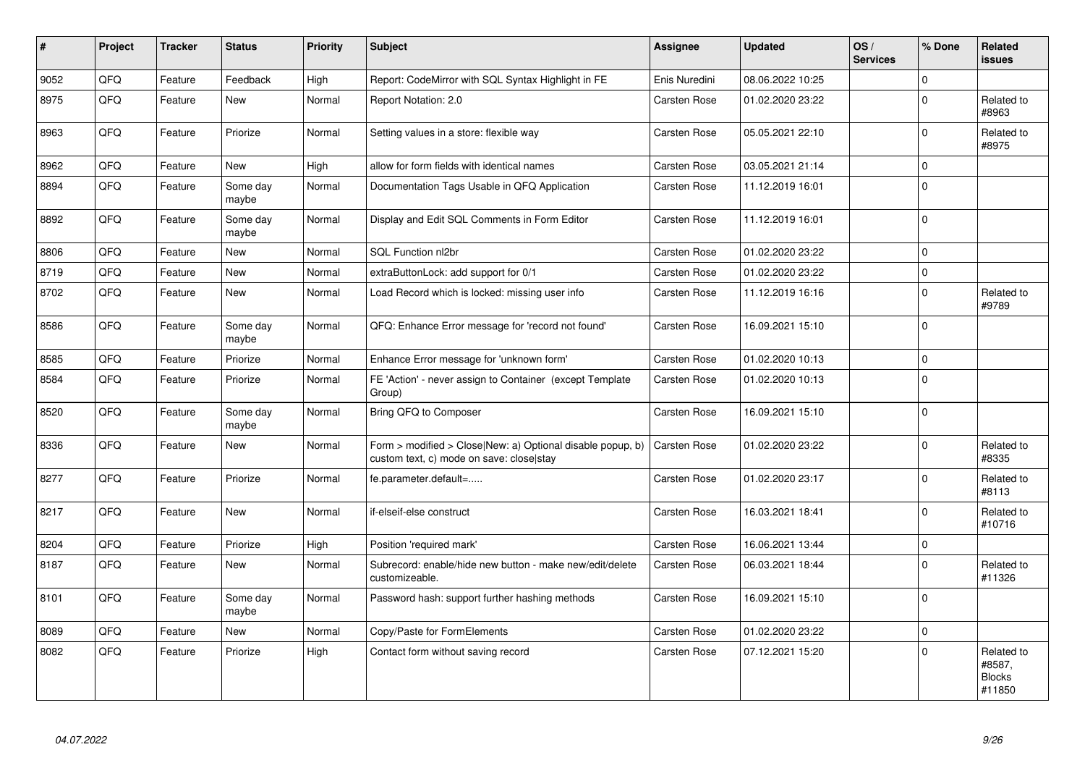| $\vert$ # | Project | <b>Tracker</b> | <b>Status</b>     | <b>Priority</b> | <b>Subject</b>                                                                                         | <b>Assignee</b> | <b>Updated</b>   | OS/<br><b>Services</b> | % Done      | <b>Related</b><br><b>issues</b>                 |
|-----------|---------|----------------|-------------------|-----------------|--------------------------------------------------------------------------------------------------------|-----------------|------------------|------------------------|-------------|-------------------------------------------------|
| 9052      | QFQ     | Feature        | Feedback          | High            | Report: CodeMirror with SQL Syntax Highlight in FE                                                     | Enis Nuredini   | 08.06.2022 10:25 |                        | $\Omega$    |                                                 |
| 8975      | QFQ     | Feature        | New               | Normal          | Report Notation: 2.0                                                                                   | Carsten Rose    | 01.02.2020 23:22 |                        | $\Omega$    | Related to<br>#8963                             |
| 8963      | QFQ     | Feature        | Priorize          | Normal          | Setting values in a store: flexible way                                                                | Carsten Rose    | 05.05.2021 22:10 |                        | $\Omega$    | Related to<br>#8975                             |
| 8962      | QFQ     | Feature        | <b>New</b>        | High            | allow for form fields with identical names                                                             | Carsten Rose    | 03.05.2021 21:14 |                        | $\mathbf 0$ |                                                 |
| 8894      | QFQ     | Feature        | Some day<br>maybe | Normal          | Documentation Tags Usable in QFQ Application                                                           | Carsten Rose    | 11.12.2019 16:01 |                        | $\Omega$    |                                                 |
| 8892      | QFQ     | Feature        | Some day<br>maybe | Normal          | Display and Edit SQL Comments in Form Editor                                                           | Carsten Rose    | 11.12.2019 16:01 |                        | $\Omega$    |                                                 |
| 8806      | QFQ     | Feature        | <b>New</b>        | Normal          | SQL Function nl2br                                                                                     | Carsten Rose    | 01.02.2020 23:22 |                        | $\Omega$    |                                                 |
| 8719      | QFQ     | Feature        | New               | Normal          | extraButtonLock: add support for 0/1                                                                   | Carsten Rose    | 01.02.2020 23:22 |                        | $\mathbf 0$ |                                                 |
| 8702      | QFQ     | Feature        | New               | Normal          | Load Record which is locked: missing user info                                                         | Carsten Rose    | 11.12.2019 16:16 |                        | $\Omega$    | Related to<br>#9789                             |
| 8586      | QFQ     | Feature        | Some day<br>maybe | Normal          | QFQ: Enhance Error message for 'record not found'                                                      | Carsten Rose    | 16.09.2021 15:10 |                        | $\Omega$    |                                                 |
| 8585      | QFQ     | Feature        | Priorize          | Normal          | Enhance Error message for 'unknown form'                                                               | Carsten Rose    | 01.02.2020 10:13 |                        | $\mathbf 0$ |                                                 |
| 8584      | QFQ     | Feature        | Priorize          | Normal          | FE 'Action' - never assign to Container (except Template<br>Group)                                     | Carsten Rose    | 01.02.2020 10:13 |                        | $\Omega$    |                                                 |
| 8520      | QFQ     | Feature        | Some day<br>maybe | Normal          | Bring QFQ to Composer                                                                                  | Carsten Rose    | 16.09.2021 15:10 |                        | $\Omega$    |                                                 |
| 8336      | QFQ     | Feature        | <b>New</b>        | Normal          | Form > modified > Close New: a) Optional disable popup, b)<br>custom text, c) mode on save: close stay | Carsten Rose    | 01.02.2020 23:22 |                        | $\Omega$    | Related to<br>#8335                             |
| 8277      | QFQ     | Feature        | Priorize          | Normal          | fe.parameter.default=                                                                                  | Carsten Rose    | 01.02.2020 23:17 |                        | $\Omega$    | Related to<br>#8113                             |
| 8217      | QFQ     | Feature        | New               | Normal          | if-elseif-else construct                                                                               | Carsten Rose    | 16.03.2021 18:41 |                        | $\mathbf 0$ | Related to<br>#10716                            |
| 8204      | QFQ     | Feature        | Priorize          | High            | Position 'required mark'                                                                               | Carsten Rose    | 16.06.2021 13:44 |                        | $\mathbf 0$ |                                                 |
| 8187      | QFQ     | Feature        | New               | Normal          | Subrecord: enable/hide new button - make new/edit/delete<br>customizeable.                             | Carsten Rose    | 06.03.2021 18:44 |                        | $\mathbf 0$ | Related to<br>#11326                            |
| 8101      | QFQ     | Feature        | Some day<br>maybe | Normal          | Password hash: support further hashing methods                                                         | Carsten Rose    | 16.09.2021 15:10 |                        | $\mathbf 0$ |                                                 |
| 8089      | QFQ     | Feature        | New               | Normal          | Copy/Paste for FormElements                                                                            | Carsten Rose    | 01.02.2020 23:22 |                        | 0           |                                                 |
| 8082      | QFQ     | Feature        | Priorize          | High            | Contact form without saving record                                                                     | Carsten Rose    | 07.12.2021 15:20 |                        | $\mathbf 0$ | Related to<br>#8587,<br><b>Blocks</b><br>#11850 |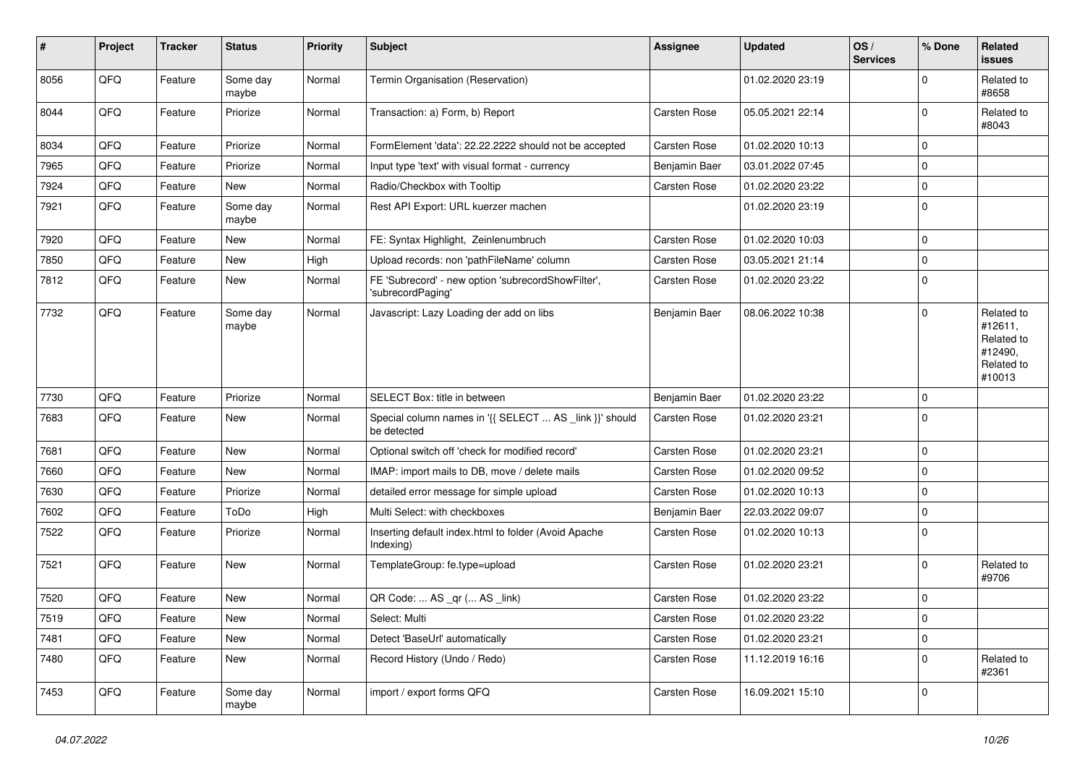| $\sharp$ | Project    | <b>Tracker</b> | <b>Status</b>     | <b>Priority</b> | <b>Subject</b>                                                          | <b>Assignee</b>     | <b>Updated</b>   | OS/<br><b>Services</b> | % Done      | Related<br><b>issues</b>                                               |
|----------|------------|----------------|-------------------|-----------------|-------------------------------------------------------------------------|---------------------|------------------|------------------------|-------------|------------------------------------------------------------------------|
| 8056     | QFQ        | Feature        | Some day<br>maybe | Normal          | Termin Organisation (Reservation)                                       |                     | 01.02.2020 23:19 |                        | $\mathbf 0$ | Related to<br>#8658                                                    |
| 8044     | QFQ        | Feature        | Priorize          | Normal          | Transaction: a) Form, b) Report                                         | Carsten Rose        | 05.05.2021 22:14 |                        | 0           | Related to<br>#8043                                                    |
| 8034     | <b>OFO</b> | Feature        | Priorize          | Normal          | FormElement 'data': 22.22.2222 should not be accepted                   | Carsten Rose        | 01.02.2020 10:13 |                        | $\pmb{0}$   |                                                                        |
| 7965     | QFQ        | Feature        | Priorize          | Normal          | Input type 'text' with visual format - currency                         | Benjamin Baer       | 03.01.2022 07:45 |                        | $\pmb{0}$   |                                                                        |
| 7924     | QFQ        | Feature        | New               | Normal          | Radio/Checkbox with Tooltip                                             | Carsten Rose        | 01.02.2020 23:22 |                        | $\pmb{0}$   |                                                                        |
| 7921     | QFQ        | Feature        | Some day<br>maybe | Normal          | Rest API Export: URL kuerzer machen                                     |                     | 01.02.2020 23:19 |                        | $\pmb{0}$   |                                                                        |
| 7920     | QFQ        | Feature        | <b>New</b>        | Normal          | FE: Syntax Highlight, Zeinlenumbruch                                    | Carsten Rose        | 01.02.2020 10:03 |                        | $\mathbf 0$ |                                                                        |
| 7850     | QFQ        | Feature        | <b>New</b>        | High            | Upload records: non 'pathFileName' column                               | Carsten Rose        | 03.05.2021 21:14 |                        | $\mathbf 0$ |                                                                        |
| 7812     | QFQ        | Feature        | <b>New</b>        | Normal          | FE 'Subrecord' - new option 'subrecordShowFilter',<br>'subrecordPaging' | Carsten Rose        | 01.02.2020 23:22 |                        | $\mathbf 0$ |                                                                        |
| 7732     | QFQ        | Feature        | Some day<br>maybe | Normal          | Javascript: Lazy Loading der add on libs                                | Benjamin Baer       | 08.06.2022 10:38 |                        | $\mathbf 0$ | Related to<br>#12611,<br>Related to<br>#12490,<br>Related to<br>#10013 |
| 7730     | QFQ        | Feature        | Priorize          | Normal          | SELECT Box: title in between                                            | Benjamin Baer       | 01.02.2020 23:22 |                        | $\pmb{0}$   |                                                                        |
| 7683     | QFQ        | Feature        | New               | Normal          | Special column names in '{{ SELECT  AS _link }}' should<br>be detected  | Carsten Rose        | 01.02.2020 23:21 |                        | $\mathbf 0$ |                                                                        |
| 7681     | QFQ        | Feature        | New               | Normal          | Optional switch off 'check for modified record'                         | Carsten Rose        | 01.02.2020 23:21 |                        | $\pmb{0}$   |                                                                        |
| 7660     | QFQ        | Feature        | New               | Normal          | IMAP: import mails to DB, move / delete mails                           | Carsten Rose        | 01.02.2020 09:52 |                        | $\pmb{0}$   |                                                                        |
| 7630     | QFQ        | Feature        | Priorize          | Normal          | detailed error message for simple upload                                | Carsten Rose        | 01.02.2020 10:13 |                        | 0           |                                                                        |
| 7602     | QFQ        | Feature        | ToDo              | High            | Multi Select: with checkboxes                                           | Benjamin Baer       | 22.03.2022 09:07 |                        | $\pmb{0}$   |                                                                        |
| 7522     | QFQ        | Feature        | Priorize          | Normal          | Inserting default index.html to folder (Avoid Apache<br>Indexing)       | Carsten Rose        | 01.02.2020 10:13 |                        | $\pmb{0}$   |                                                                        |
| 7521     | QFQ        | Feature        | New               | Normal          | TemplateGroup: fe.type=upload                                           | Carsten Rose        | 01.02.2020 23:21 |                        | $\pmb{0}$   | Related to<br>#9706                                                    |
| 7520     | QFQ        | Feature        | <b>New</b>        | Normal          | QR Code:  AS _qr ( AS _link)                                            | Carsten Rose        | 01.02.2020 23:22 |                        | $\mathbf 0$ |                                                                        |
| 7519     | QFQ        | Feature        | <b>New</b>        | Normal          | Select: Multi                                                           | <b>Carsten Rose</b> | 01.02.2020 23:22 |                        | $\mathbf 0$ |                                                                        |
| 7481     | QFQ        | Feature        | <b>New</b>        | Normal          | Detect 'BaseUrl' automatically                                          | <b>Carsten Rose</b> | 01.02.2020 23:21 |                        | $\mathbf 0$ |                                                                        |
| 7480     | QFQ        | Feature        | New               | Normal          | Record History (Undo / Redo)                                            | Carsten Rose        | 11.12.2019 16:16 |                        | $\pmb{0}$   | Related to<br>#2361                                                    |
| 7453     | QFQ        | Feature        | Some day<br>maybe | Normal          | import / export forms QFQ                                               | Carsten Rose        | 16.09.2021 15:10 |                        | $\mathbf 0$ |                                                                        |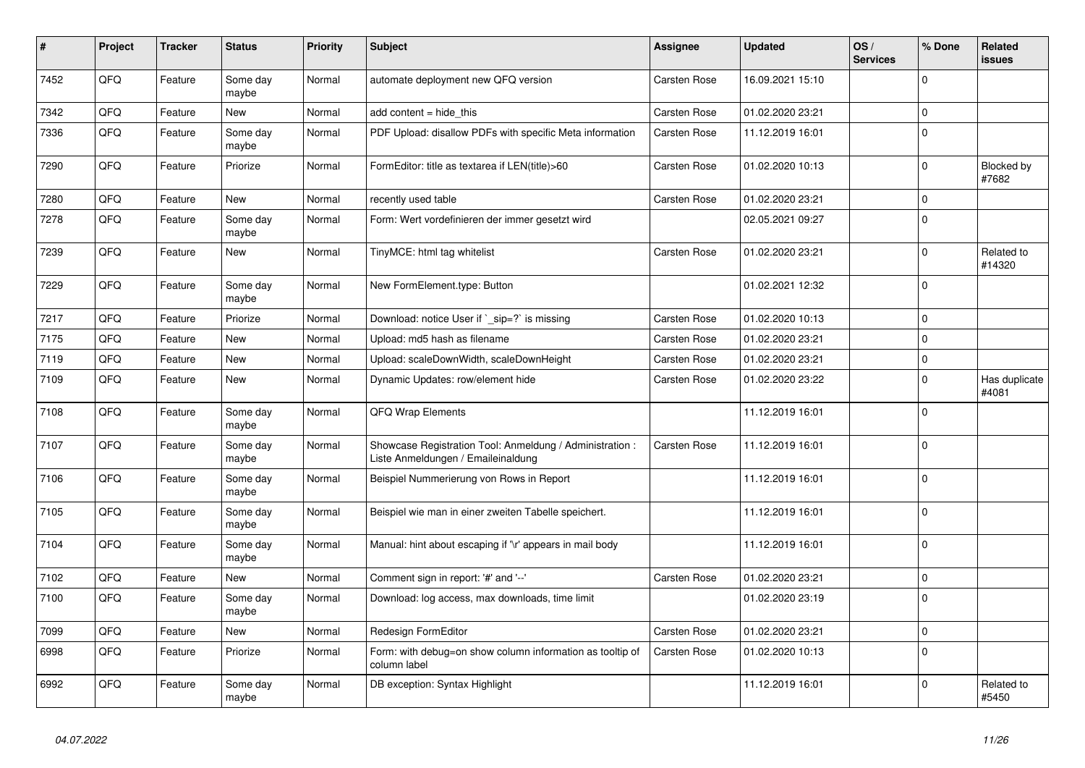| #    | Project | <b>Tracker</b> | <b>Status</b>     | <b>Priority</b> | <b>Subject</b>                                                                                 | <b>Assignee</b>     | <b>Updated</b>   | OS/<br><b>Services</b> | % Done         | <b>Related</b><br>issues |
|------|---------|----------------|-------------------|-----------------|------------------------------------------------------------------------------------------------|---------------------|------------------|------------------------|----------------|--------------------------|
| 7452 | QFQ     | Feature        | Some day<br>maybe | Normal          | automate deployment new QFQ version                                                            | Carsten Rose        | 16.09.2021 15:10 |                        | $\Omega$       |                          |
| 7342 | QFQ     | Feature        | <b>New</b>        | Normal          | add content $=$ hide this                                                                      | Carsten Rose        | 01.02.2020 23:21 |                        | $\overline{0}$ |                          |
| 7336 | QFQ     | Feature        | Some day<br>maybe | Normal          | PDF Upload: disallow PDFs with specific Meta information                                       | Carsten Rose        | 11.12.2019 16:01 |                        | $\mathbf 0$    |                          |
| 7290 | QFQ     | Feature        | Priorize          | Normal          | FormEditor: title as textarea if LEN(title)>60                                                 | Carsten Rose        | 01.02.2020 10:13 |                        | $\mathbf 0$    | Blocked by<br>#7682      |
| 7280 | QFQ     | Feature        | New               | Normal          | recently used table                                                                            | Carsten Rose        | 01.02.2020 23:21 |                        | 0              |                          |
| 7278 | QFQ     | Feature        | Some day<br>maybe | Normal          | Form: Wert vordefinieren der immer gesetzt wird                                                |                     | 02.05.2021 09:27 |                        | $\mathbf 0$    |                          |
| 7239 | QFQ     | Feature        | <b>New</b>        | Normal          | TinyMCE: html tag whitelist                                                                    | Carsten Rose        | 01.02.2020 23:21 |                        | $\Omega$       | Related to<br>#14320     |
| 7229 | QFQ     | Feature        | Some day<br>maybe | Normal          | New FormElement.type: Button                                                                   |                     | 01.02.2021 12:32 |                        | $\Omega$       |                          |
| 7217 | QFQ     | Feature        | Priorize          | Normal          | Download: notice User if ` sip=?` is missing                                                   | <b>Carsten Rose</b> | 01.02.2020 10:13 |                        | 0              |                          |
| 7175 | QFQ     | Feature        | New               | Normal          | Upload: md5 hash as filename                                                                   | Carsten Rose        | 01.02.2020 23:21 |                        | $\mathbf 0$    |                          |
| 7119 | QFQ     | Feature        | New               | Normal          | Upload: scaleDownWidth, scaleDownHeight                                                        | Carsten Rose        | 01.02.2020 23:21 |                        | 0              |                          |
| 7109 | QFQ     | Feature        | New               | Normal          | Dynamic Updates: row/element hide                                                              | Carsten Rose        | 01.02.2020 23:22 |                        | $\mathbf 0$    | Has duplicate<br>#4081   |
| 7108 | QFQ     | Feature        | Some day<br>maybe | Normal          | QFQ Wrap Elements                                                                              |                     | 11.12.2019 16:01 |                        | $\overline{0}$ |                          |
| 7107 | QFQ     | Feature        | Some day<br>maybe | Normal          | Showcase Registration Tool: Anmeldung / Administration :<br>Liste Anmeldungen / Emaileinaldung | Carsten Rose        | 11.12.2019 16:01 |                        | $\Omega$       |                          |
| 7106 | QFQ     | Feature        | Some day<br>maybe | Normal          | Beispiel Nummerierung von Rows in Report                                                       |                     | 11.12.2019 16:01 |                        | $\mathbf 0$    |                          |
| 7105 | QFQ     | Feature        | Some day<br>maybe | Normal          | Beispiel wie man in einer zweiten Tabelle speichert.                                           |                     | 11.12.2019 16:01 |                        | 0              |                          |
| 7104 | QFQ     | Feature        | Some day<br>maybe | Normal          | Manual: hint about escaping if '\r' appears in mail body                                       |                     | 11.12.2019 16:01 |                        | 0              |                          |
| 7102 | QFQ     | Feature        | <b>New</b>        | Normal          | Comment sign in report: '#' and '--'                                                           | Carsten Rose        | 01.02.2020 23:21 |                        | $\Omega$       |                          |
| 7100 | QFQ     | Feature        | Some day<br>maybe | Normal          | Download: log access, max downloads, time limit                                                |                     | 01.02.2020 23:19 |                        | $\mathbf{0}$   |                          |
| 7099 | QFQ     | Feature        | New               | Normal          | Redesign FormEditor                                                                            | Carsten Rose        | 01.02.2020 23:21 |                        | $\Omega$       |                          |
| 6998 | QFQ     | Feature        | Priorize          | Normal          | Form: with debug=on show column information as tooltip of<br>column label                      | Carsten Rose        | 01.02.2020 10:13 |                        | $\Omega$       |                          |
| 6992 | QFQ     | Feature        | Some day<br>maybe | Normal          | DB exception: Syntax Highlight                                                                 |                     | 11.12.2019 16:01 |                        | $\mathbf 0$    | Related to<br>#5450      |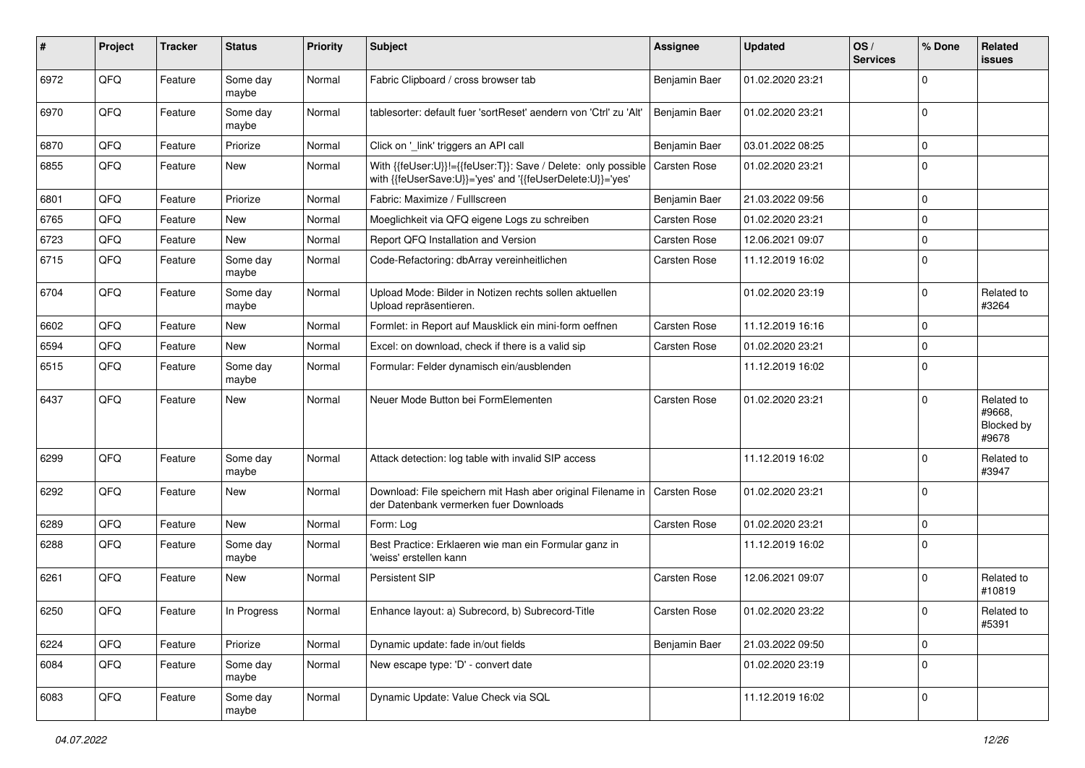| #    | Project | <b>Tracker</b> | <b>Status</b>     | <b>Priority</b> | Subject                                                                                                                    | <b>Assignee</b>     | <b>Updated</b>   | OS/<br><b>Services</b> | % Done      | Related<br>issues                           |
|------|---------|----------------|-------------------|-----------------|----------------------------------------------------------------------------------------------------------------------------|---------------------|------------------|------------------------|-------------|---------------------------------------------|
| 6972 | QFQ     | Feature        | Some day<br>maybe | Normal          | Fabric Clipboard / cross browser tab                                                                                       | Benjamin Baer       | 01.02.2020 23:21 |                        | $\Omega$    |                                             |
| 6970 | QFQ     | Feature        | Some day<br>maybe | Normal          | tablesorter: default fuer 'sortReset' aendern von 'Ctrl' zu 'Alt'                                                          | Benjamin Baer       | 01.02.2020 23:21 |                        | $\mathbf 0$ |                                             |
| 6870 | QFQ     | Feature        | Priorize          | Normal          | Click on '_link' triggers an API call                                                                                      | Benjamin Baer       | 03.01.2022 08:25 |                        | $\mathbf 0$ |                                             |
| 6855 | QFQ     | Feature        | New               | Normal          | With {{feUser:U}}!={{feUser:T}}: Save / Delete: only possible<br>with {{feUserSave:U}}='yes' and '{{feUserDelete:U}}='yes' | Carsten Rose        | 01.02.2020 23:21 |                        | $\mathbf 0$ |                                             |
| 6801 | QFQ     | Feature        | Priorize          | Normal          | Fabric: Maximize / FullIscreen                                                                                             | Benjamin Baer       | 21.03.2022 09:56 |                        | 0           |                                             |
| 6765 | QFQ     | Feature        | New               | Normal          | Moeglichkeit via QFQ eigene Logs zu schreiben                                                                              | <b>Carsten Rose</b> | 01.02.2020 23:21 |                        | $\mathbf 0$ |                                             |
| 6723 | QFQ     | Feature        | New               | Normal          | Report QFQ Installation and Version                                                                                        | <b>Carsten Rose</b> | 12.06.2021 09:07 |                        | 0           |                                             |
| 6715 | QFQ     | Feature        | Some day<br>maybe | Normal          | Code-Refactoring: dbArray vereinheitlichen                                                                                 | <b>Carsten Rose</b> | 11.12.2019 16:02 |                        | $\Omega$    |                                             |
| 6704 | QFQ     | Feature        | Some day<br>maybe | Normal          | Upload Mode: Bilder in Notizen rechts sollen aktuellen<br>Upload repräsentieren.                                           |                     | 01.02.2020 23:19 |                        | $\mathbf 0$ | Related to<br>#3264                         |
| 6602 | QFQ     | Feature        | New               | Normal          | Formlet: in Report auf Mausklick ein mini-form oeffnen                                                                     | <b>Carsten Rose</b> | 11.12.2019 16:16 |                        | $\mathbf 0$ |                                             |
| 6594 | QFQ     | Feature        | New               | Normal          | Excel: on download, check if there is a valid sip                                                                          | Carsten Rose        | 01.02.2020 23:21 |                        | $\mathbf 0$ |                                             |
| 6515 | QFQ     | Feature        | Some day<br>maybe | Normal          | Formular: Felder dynamisch ein/ausblenden                                                                                  |                     | 11.12.2019 16:02 |                        | $\Omega$    |                                             |
| 6437 | QFQ     | Feature        | New               | Normal          | Neuer Mode Button bei FormElementen                                                                                        | <b>Carsten Rose</b> | 01.02.2020 23:21 |                        | $\mathbf 0$ | Related to<br>#9668.<br>Blocked by<br>#9678 |
| 6299 | QFQ     | Feature        | Some day<br>maybe | Normal          | Attack detection: log table with invalid SIP access                                                                        |                     | 11.12.2019 16:02 |                        | $\Omega$    | Related to<br>#3947                         |
| 6292 | QFQ     | Feature        | New               | Normal          | Download: File speichern mit Hash aber original Filename in   Carsten Rose<br>der Datenbank vermerken fuer Downloads       |                     | 01.02.2020 23:21 |                        | $\mathbf 0$ |                                             |
| 6289 | QFQ     | Feature        | <b>New</b>        | Normal          | Form: Log                                                                                                                  | <b>Carsten Rose</b> | 01.02.2020 23:21 |                        | $\mathbf 0$ |                                             |
| 6288 | QFQ     | Feature        | Some day<br>maybe | Normal          | Best Practice: Erklaeren wie man ein Formular ganz in<br>'weiss' erstellen kann                                            |                     | 11.12.2019 16:02 |                        | $\mathbf 0$ |                                             |
| 6261 | QFQ     | Feature        | New               | Normal          | Persistent SIP                                                                                                             | Carsten Rose        | 12.06.2021 09:07 |                        | $\mathbf 0$ | Related to<br>#10819                        |
| 6250 | QFQ     | Feature        | In Progress       | Normal          | Enhance layout: a) Subrecord, b) Subrecord-Title                                                                           | Carsten Rose        | 01.02.2020 23:22 |                        | $\mathbf 0$ | Related to<br>#5391                         |
| 6224 | QFQ     | Feature        | Priorize          | Normal          | Dynamic update: fade in/out fields                                                                                         | Benjamin Baer       | 21.03.2022 09:50 |                        | $\pmb{0}$   |                                             |
| 6084 | QFQ     | Feature        | Some day<br>maybe | Normal          | New escape type: 'D' - convert date                                                                                        |                     | 01.02.2020 23:19 |                        | $\mathbf 0$ |                                             |
| 6083 | QFQ     | Feature        | Some day<br>maybe | Normal          | Dynamic Update: Value Check via SQL                                                                                        |                     | 11.12.2019 16:02 |                        | $\pmb{0}$   |                                             |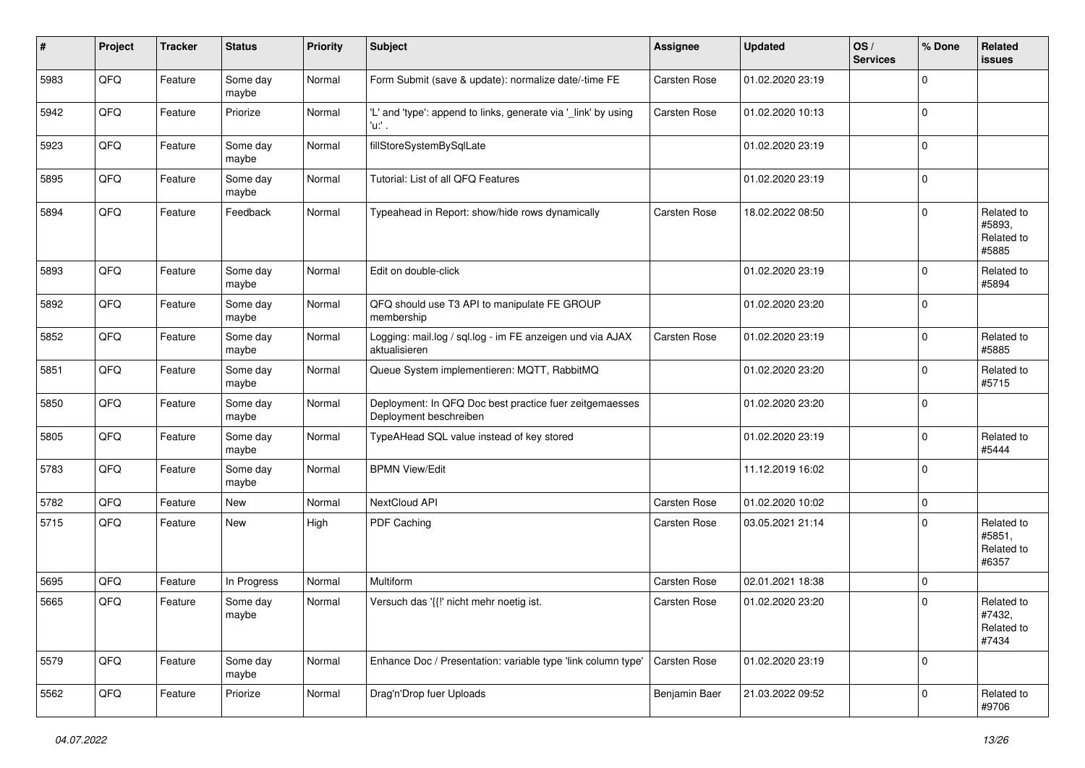| #    | Project | <b>Tracker</b> | <b>Status</b>     | Priority | Subject                                                                           | <b>Assignee</b> | <b>Updated</b>   | OS/<br><b>Services</b> | % Done      | Related<br><b>issues</b>                           |
|------|---------|----------------|-------------------|----------|-----------------------------------------------------------------------------------|-----------------|------------------|------------------------|-------------|----------------------------------------------------|
| 5983 | QFQ     | Feature        | Some day<br>maybe | Normal   | Form Submit (save & update): normalize date/-time FE                              | Carsten Rose    | 01.02.2020 23:19 |                        | $\mathbf 0$ |                                                    |
| 5942 | QFQ     | Feature        | Priorize          | Normal   | 'L' and 'type': append to links, generate via '_link' by using<br>'u:' .          | Carsten Rose    | 01.02.2020 10:13 |                        | 0           |                                                    |
| 5923 | QFQ     | Feature        | Some day<br>maybe | Normal   | fillStoreSystemBySqlLate                                                          |                 | 01.02.2020 23:19 |                        | 0           |                                                    |
| 5895 | QFQ     | Feature        | Some day<br>maybe | Normal   | Tutorial: List of all QFQ Features                                                |                 | 01.02.2020 23:19 |                        | 0           |                                                    |
| 5894 | QFQ     | Feature        | Feedback          | Normal   | Typeahead in Report: show/hide rows dynamically                                   | Carsten Rose    | 18.02.2022 08:50 |                        | 0           | Related to<br>#5893.<br>Related to<br>#5885        |
| 5893 | QFQ     | Feature        | Some day<br>maybe | Normal   | Edit on double-click                                                              |                 | 01.02.2020 23:19 |                        | $\mathbf 0$ | Related to<br>#5894                                |
| 5892 | QFQ     | Feature        | Some day<br>maybe | Normal   | QFQ should use T3 API to manipulate FE GROUP<br>membership                        |                 | 01.02.2020 23:20 |                        | 0           |                                                    |
| 5852 | QFQ     | Feature        | Some day<br>maybe | Normal   | Logging: mail.log / sql.log - im FE anzeigen und via AJAX<br>aktualisieren        | Carsten Rose    | 01.02.2020 23:19 |                        | 0           | Related to<br>#5885                                |
| 5851 | QFQ     | Feature        | Some day<br>maybe | Normal   | Queue System implementieren: MQTT, RabbitMQ                                       |                 | 01.02.2020 23:20 |                        | 0           | Related to<br>#5715                                |
| 5850 | QFQ     | Feature        | Some day<br>maybe | Normal   | Deployment: In QFQ Doc best practice fuer zeitgemaesses<br>Deployment beschreiben |                 | 01.02.2020 23:20 |                        | 0           |                                                    |
| 5805 | QFQ     | Feature        | Some day<br>maybe | Normal   | TypeAHead SQL value instead of key stored                                         |                 | 01.02.2020 23:19 |                        | $\mathbf 0$ | Related to<br>#5444                                |
| 5783 | QFQ     | Feature        | Some day<br>maybe | Normal   | <b>BPMN View/Edit</b>                                                             |                 | 11.12.2019 16:02 |                        | 0           |                                                    |
| 5782 | QFQ     | Feature        | New               | Normal   | NextCloud API                                                                     | Carsten Rose    | 01.02.2020 10:02 |                        | 0           |                                                    |
| 5715 | QFQ     | Feature        | New               | High     | PDF Caching                                                                       | Carsten Rose    | 03.05.2021 21:14 |                        | 0           | Related to<br>#5851,<br>Related to<br>#6357        |
| 5695 | QFQ     | Feature        | In Progress       | Normal   | Multiform                                                                         | Carsten Rose    | 02.01.2021 18:38 |                        | $\mathbf 0$ |                                                    |
| 5665 | QFQ     | Feature        | Some day<br>maybe | Normal   | Versuch das '{{!' nicht mehr noetig ist.                                          | Carsten Rose    | 01.02.2020 23:20 |                        | 0           | Related to<br>#7432,<br><b>Related to</b><br>#7434 |
| 5579 | QFQ     | Feature        | Some day<br>maybe | Normal   | Enhance Doc / Presentation: variable type 'link column type'                      | Carsten Rose    | 01.02.2020 23:19 |                        | $\mathbf 0$ |                                                    |
| 5562 | QFQ     | Feature        | Priorize          | Normal   | Drag'n'Drop fuer Uploads                                                          | Benjamin Baer   | 21.03.2022 09:52 |                        | 0           | Related to<br>#9706                                |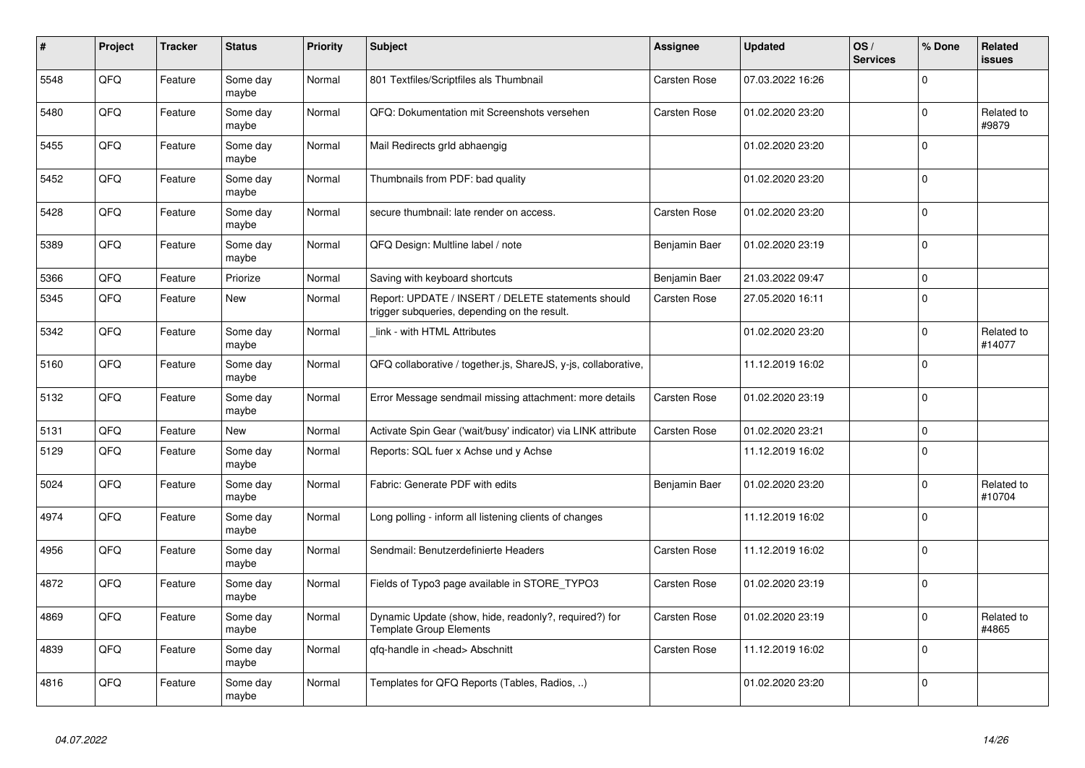| $\pmb{\sharp}$ | Project | <b>Tracker</b> | <b>Status</b>     | <b>Priority</b> | <b>Subject</b>                                                                                     | Assignee            | <b>Updated</b>   | OS/<br><b>Services</b> | % Done      | Related<br>issues    |
|----------------|---------|----------------|-------------------|-----------------|----------------------------------------------------------------------------------------------------|---------------------|------------------|------------------------|-------------|----------------------|
| 5548           | QFQ     | Feature        | Some day<br>maybe | Normal          | 801 Textfiles/Scriptfiles als Thumbnail                                                            | Carsten Rose        | 07.03.2022 16:26 |                        | $\Omega$    |                      |
| 5480           | QFQ     | Feature        | Some day<br>maybe | Normal          | QFQ: Dokumentation mit Screenshots versehen                                                        | Carsten Rose        | 01.02.2020 23:20 |                        | $\mathbf 0$ | Related to<br>#9879  |
| 5455           | QFQ     | Feature        | Some day<br>maybe | Normal          | Mail Redirects grld abhaengig                                                                      |                     | 01.02.2020 23:20 |                        | $\Omega$    |                      |
| 5452           | QFQ     | Feature        | Some day<br>maybe | Normal          | Thumbnails from PDF: bad quality                                                                   |                     | 01.02.2020 23:20 |                        | $\Omega$    |                      |
| 5428           | QFQ     | Feature        | Some day<br>maybe | Normal          | secure thumbnail: late render on access.                                                           | <b>Carsten Rose</b> | 01.02.2020 23:20 |                        | $\Omega$    |                      |
| 5389           | QFQ     | Feature        | Some day<br>maybe | Normal          | QFQ Design: Multline label / note                                                                  | Benjamin Baer       | 01.02.2020 23:19 |                        | $\Omega$    |                      |
| 5366           | QFQ     | Feature        | Priorize          | Normal          | Saving with keyboard shortcuts                                                                     | Benjamin Baer       | 21.03.2022 09:47 |                        | $\mathbf 0$ |                      |
| 5345           | QFQ     | Feature        | New               | Normal          | Report: UPDATE / INSERT / DELETE statements should<br>trigger subqueries, depending on the result. | Carsten Rose        | 27.05.2020 16:11 |                        | $\Omega$    |                      |
| 5342           | QFQ     | Feature        | Some day<br>maybe | Normal          | link - with HTML Attributes                                                                        |                     | 01.02.2020 23:20 |                        | $\Omega$    | Related to<br>#14077 |
| 5160           | QFQ     | Feature        | Some day<br>maybe | Normal          | QFQ collaborative / together.js, ShareJS, y-js, collaborative,                                     |                     | 11.12.2019 16:02 |                        | $\Omega$    |                      |
| 5132           | QFQ     | Feature        | Some day<br>maybe | Normal          | Error Message sendmail missing attachment: more details                                            | Carsten Rose        | 01.02.2020 23:19 |                        | $\Omega$    |                      |
| 5131           | QFQ     | Feature        | New               | Normal          | Activate Spin Gear ('wait/busy' indicator) via LINK attribute                                      | <b>Carsten Rose</b> | 01.02.2020 23:21 |                        | $\mathbf 0$ |                      |
| 5129           | QFQ     | Feature        | Some day<br>maybe | Normal          | Reports: SQL fuer x Achse und y Achse                                                              |                     | 11.12.2019 16:02 |                        | $\Omega$    |                      |
| 5024           | QFQ     | Feature        | Some day<br>maybe | Normal          | Fabric: Generate PDF with edits                                                                    | Benjamin Baer       | 01.02.2020 23:20 |                        | $\mathbf 0$ | Related to<br>#10704 |
| 4974           | QFQ     | Feature        | Some day<br>maybe | Normal          | Long polling - inform all listening clients of changes                                             |                     | 11.12.2019 16:02 |                        | $\Omega$    |                      |
| 4956           | QFQ     | Feature        | Some day<br>maybe | Normal          | Sendmail: Benutzerdefinierte Headers                                                               | Carsten Rose        | 11.12.2019 16:02 |                        | $\Omega$    |                      |
| 4872           | QFQ     | Feature        | Some day<br>maybe | Normal          | Fields of Typo3 page available in STORE TYPO3                                                      | <b>Carsten Rose</b> | 01.02.2020 23:19 |                        | $\Omega$    |                      |
| 4869           | QFQ     | Feature        | Some day<br>maybe | Normal          | Dynamic Update (show, hide, readonly?, required?) for<br><b>Template Group Elements</b>            | <b>Carsten Rose</b> | 01.02.2020 23:19 |                        | $\Omega$    | Related to<br>#4865  |
| 4839           | QFQ     | Feature        | Some day<br>maybe | Normal          | qfq-handle in <head> Abschnitt</head>                                                              | Carsten Rose        | 11.12.2019 16:02 |                        | $\Omega$    |                      |
| 4816           | QFQ     | Feature        | Some day<br>maybe | Normal          | Templates for QFQ Reports (Tables, Radios, )                                                       |                     | 01.02.2020 23:20 |                        | $\Omega$    |                      |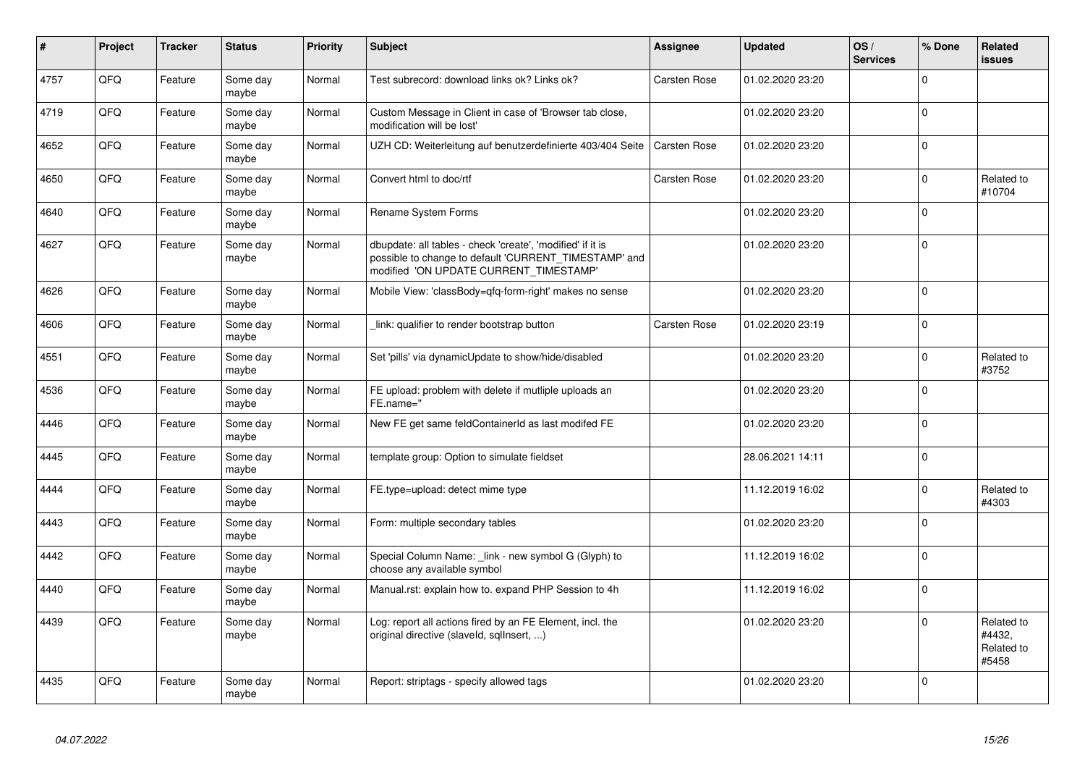| $\vert$ # | Project | <b>Tracker</b> | <b>Status</b>     | <b>Priority</b> | <b>Subject</b>                                                                                                                                                | <b>Assignee</b>     | <b>Updated</b>   | OS/<br><b>Services</b> | % Done      | Related<br>issues                           |
|-----------|---------|----------------|-------------------|-----------------|---------------------------------------------------------------------------------------------------------------------------------------------------------------|---------------------|------------------|------------------------|-------------|---------------------------------------------|
| 4757      | QFQ     | Feature        | Some day<br>maybe | Normal          | Test subrecord: download links ok? Links ok?                                                                                                                  | Carsten Rose        | 01.02.2020 23:20 |                        | $\mathbf 0$ |                                             |
| 4719      | QFQ     | Feature        | Some day<br>maybe | Normal          | Custom Message in Client in case of 'Browser tab close,<br>modification will be lost'                                                                         |                     | 01.02.2020 23:20 |                        | $\mathbf 0$ |                                             |
| 4652      | QFQ     | Feature        | Some day<br>maybe | Normal          | UZH CD: Weiterleitung auf benutzerdefinierte 403/404 Seite                                                                                                    | <b>Carsten Rose</b> | 01.02.2020 23:20 |                        | $\mathbf 0$ |                                             |
| 4650      | QFQ     | Feature        | Some day<br>maybe | Normal          | Convert html to doc/rtf                                                                                                                                       | <b>Carsten Rose</b> | 01.02.2020 23:20 |                        | $\mathbf 0$ | Related to<br>#10704                        |
| 4640      | QFQ     | Feature        | Some day<br>maybe | Normal          | Rename System Forms                                                                                                                                           |                     | 01.02.2020 23:20 |                        | $\mathbf 0$ |                                             |
| 4627      | QFQ     | Feature        | Some day<br>maybe | Normal          | dbupdate: all tables - check 'create', 'modified' if it is<br>possible to change to default 'CURRENT_TIMESTAMP' and<br>modified 'ON UPDATE CURRENT TIMESTAMP' |                     | 01.02.2020 23:20 |                        | $\mathbf 0$ |                                             |
| 4626      | QFQ     | Feature        | Some day<br>maybe | Normal          | Mobile View: 'classBody=qfq-form-right' makes no sense                                                                                                        |                     | 01.02.2020 23:20 |                        | $\mathbf 0$ |                                             |
| 4606      | QFQ     | Feature        | Some day<br>maybe | Normal          | link: qualifier to render bootstrap button                                                                                                                    | Carsten Rose        | 01.02.2020 23:19 |                        | $\mathbf 0$ |                                             |
| 4551      | QFQ     | Feature        | Some day<br>maybe | Normal          | Set 'pills' via dynamicUpdate to show/hide/disabled                                                                                                           |                     | 01.02.2020 23:20 |                        | 0           | Related to<br>#3752                         |
| 4536      | QFQ     | Feature        | Some day<br>maybe | Normal          | FE upload: problem with delete if mutliple uploads an<br>FE.name="                                                                                            |                     | 01.02.2020 23:20 |                        | $\mathbf 0$ |                                             |
| 4446      | QFQ     | Feature        | Some day<br>maybe | Normal          | New FE get same feldContainerId as last modifed FE                                                                                                            |                     | 01.02.2020 23:20 |                        | $\mathbf 0$ |                                             |
| 4445      | QFQ     | Feature        | Some day<br>maybe | Normal          | template group: Option to simulate fieldset                                                                                                                   |                     | 28.06.2021 14:11 |                        | $\mathbf 0$ |                                             |
| 4444      | QFQ     | Feature        | Some day<br>maybe | Normal          | FE.type=upload: detect mime type                                                                                                                              |                     | 11.12.2019 16:02 |                        | $\Omega$    | Related to<br>#4303                         |
| 4443      | QFQ     | Feature        | Some day<br>maybe | Normal          | Form: multiple secondary tables                                                                                                                               |                     | 01.02.2020 23:20 |                        | $\mathbf 0$ |                                             |
| 4442      | QFQ     | Feature        | Some day<br>maybe | Normal          | Special Column Name: _link - new symbol G (Glyph) to<br>choose any available symbol                                                                           |                     | 11.12.2019 16:02 |                        | $\mathbf 0$ |                                             |
| 4440      | QFQ     | Feature        | Some day<br>maybe | Normal          | Manual.rst: explain how to. expand PHP Session to 4h                                                                                                          |                     | 11.12.2019 16:02 |                        | $\mathbf 0$ |                                             |
| 4439      | QFQ     | Feature        | Some day<br>maybe | Normal          | Log: report all actions fired by an FE Element, incl. the<br>original directive (slaveld, sqllnsert, )                                                        |                     | 01.02.2020 23:20 |                        | $\Omega$    | Related to<br>#4432,<br>Related to<br>#5458 |
| 4435      | QFQ     | Feature        | Some day<br>maybe | Normal          | Report: striptags - specify allowed tags                                                                                                                      |                     | 01.02.2020 23:20 |                        | $\Omega$    |                                             |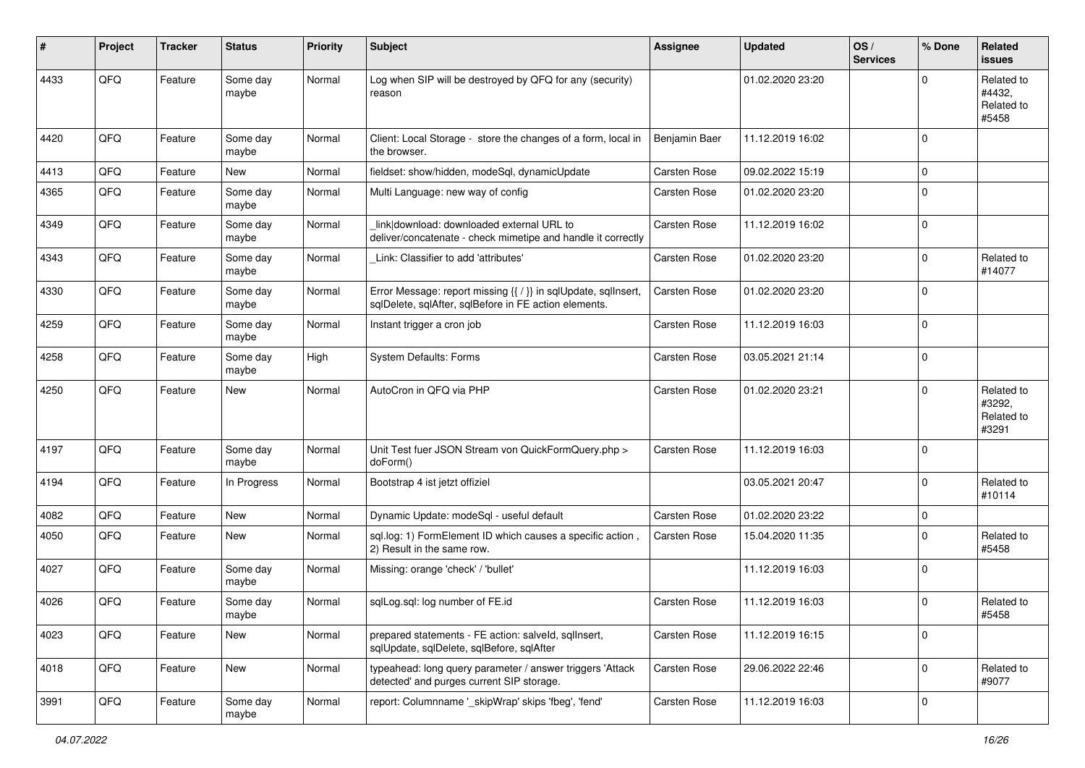| #    | Project | <b>Tracker</b> | <b>Status</b>     | <b>Priority</b> | <b>Subject</b>                                                                                                          | <b>Assignee</b> | <b>Updated</b>   | OS/<br><b>Services</b> | % Done      | Related<br><b>issues</b>                    |
|------|---------|----------------|-------------------|-----------------|-------------------------------------------------------------------------------------------------------------------------|-----------------|------------------|------------------------|-------------|---------------------------------------------|
| 4433 | QFQ     | Feature        | Some day<br>maybe | Normal          | Log when SIP will be destroyed by QFQ for any (security)<br>reason                                                      |                 | 01.02.2020 23:20 |                        | $\Omega$    | Related to<br>#4432.<br>Related to<br>#5458 |
| 4420 | QFQ     | Feature        | Some day<br>maybe | Normal          | Client: Local Storage - store the changes of a form, local in<br>the browser.                                           | Benjamin Baer   | 11.12.2019 16:02 |                        | $\Omega$    |                                             |
| 4413 | QFQ     | Feature        | <b>New</b>        | Normal          | fieldset: show/hidden, modeSql, dynamicUpdate                                                                           | Carsten Rose    | 09.02.2022 15:19 |                        | $\mathbf 0$ |                                             |
| 4365 | QFQ     | Feature        | Some day<br>maybe | Normal          | Multi Language: new way of config                                                                                       | Carsten Rose    | 01.02.2020 23:20 |                        | $\mathbf 0$ |                                             |
| 4349 | QFQ     | Feature        | Some day<br>maybe | Normal          | link download: downloaded external URL to<br>deliver/concatenate - check mimetipe and handle it correctly               | Carsten Rose    | 11.12.2019 16:02 |                        | $\mathbf 0$ |                                             |
| 4343 | QFQ     | Feature        | Some day<br>maybe | Normal          | Link: Classifier to add 'attributes'                                                                                    | Carsten Rose    | 01.02.2020 23:20 |                        | $\mathbf 0$ | Related to<br>#14077                        |
| 4330 | QFQ     | Feature        | Some day<br>maybe | Normal          | Error Message: report missing {{ / }} in sqlUpdate, sqlInsert,<br>sqlDelete, sqlAfter, sqlBefore in FE action elements. | Carsten Rose    | 01.02.2020 23:20 |                        | $\mathbf 0$ |                                             |
| 4259 | QFQ     | Feature        | Some day<br>maybe | Normal          | Instant trigger a cron job                                                                                              | Carsten Rose    | 11.12.2019 16:03 |                        | $\mathbf 0$ |                                             |
| 4258 | QFQ     | Feature        | Some day<br>maybe | High            | System Defaults: Forms                                                                                                  | Carsten Rose    | 03.05.2021 21:14 |                        | $\mathbf 0$ |                                             |
| 4250 | QFQ     | Feature        | New               | Normal          | AutoCron in OFO via PHP                                                                                                 | Carsten Rose    | 01.02.2020 23:21 |                        | $\mathbf 0$ | Related to<br>#3292,<br>Related to<br>#3291 |
| 4197 | QFQ     | Feature        | Some day<br>maybe | Normal          | Unit Test fuer JSON Stream von QuickFormQuery.php ><br>doForm()                                                         | Carsten Rose    | 11.12.2019 16:03 |                        | $\mathbf 0$ |                                             |
| 4194 | QFQ     | Feature        | In Progress       | Normal          | Bootstrap 4 ist jetzt offiziel                                                                                          |                 | 03.05.2021 20:47 |                        | $\mathbf 0$ | Related to<br>#10114                        |
| 4082 | QFQ     | Feature        | New               | Normal          | Dynamic Update: modeSql - useful default                                                                                | Carsten Rose    | 01.02.2020 23:22 |                        | $\mathbf 0$ |                                             |
| 4050 | QFQ     | Feature        | New               | Normal          | sql.log: 1) FormElement ID which causes a specific action,<br>2) Result in the same row.                                | Carsten Rose    | 15.04.2020 11:35 |                        | $\Omega$    | Related to<br>#5458                         |
| 4027 | QFQ     | Feature        | Some day<br>maybe | Normal          | Missing: orange 'check' / 'bullet'                                                                                      |                 | 11.12.2019 16:03 |                        | $\mathbf 0$ |                                             |
| 4026 | QFQ     | Feature        | Some day<br>maybe | Normal          | sqlLog.sql: log number of FE.id                                                                                         | Carsten Rose    | 11.12.2019 16:03 |                        | $\mathbf 0$ | Related to<br>#5458                         |
| 4023 | QFQ     | Feature        | New               | Normal          | prepared statements - FE action: salveld, sqllnsert,<br>sqlUpdate, sqlDelete, sqlBefore, sqlAfter                       | Carsten Rose    | 11.12.2019 16:15 |                        | 0           |                                             |
| 4018 | QFQ     | Feature        | New               | Normal          | typeahead: long query parameter / answer triggers 'Attack<br>detected' and purges current SIP storage.                  | Carsten Rose    | 29.06.2022 22:46 |                        | 0           | Related to<br>#9077                         |
| 3991 | QFG     | Feature        | Some day<br>maybe | Normal          | report: Columnname ' skipWrap' skips 'fbeg', 'fend'                                                                     | Carsten Rose    | 11.12.2019 16:03 |                        | 0           |                                             |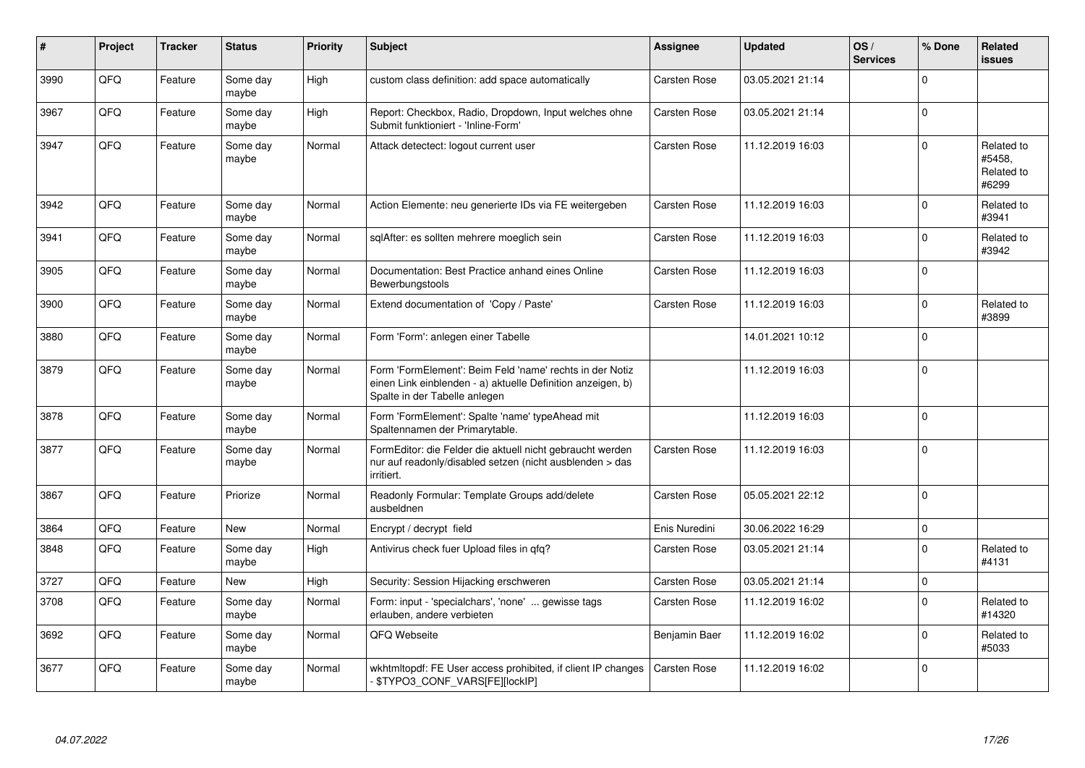| #    | Project | <b>Tracker</b> | <b>Status</b>     | <b>Priority</b> | <b>Subject</b>                                                                                                                                           | Assignee            | <b>Updated</b>   | OS/<br><b>Services</b> | % Done      | Related<br>issues                           |
|------|---------|----------------|-------------------|-----------------|----------------------------------------------------------------------------------------------------------------------------------------------------------|---------------------|------------------|------------------------|-------------|---------------------------------------------|
| 3990 | QFQ     | Feature        | Some day<br>maybe | High            | custom class definition: add space automatically                                                                                                         | Carsten Rose        | 03.05.2021 21:14 |                        | $\Omega$    |                                             |
| 3967 | QFQ     | Feature        | Some day<br>maybe | High            | Report: Checkbox, Radio, Dropdown, Input welches ohne<br>Submit funktioniert - 'Inline-Form'                                                             | Carsten Rose        | 03.05.2021 21:14 |                        | 0           |                                             |
| 3947 | QFQ     | Feature        | Some day<br>maybe | Normal          | Attack detectect: logout current user                                                                                                                    | Carsten Rose        | 11.12.2019 16:03 |                        | 0           | Related to<br>#5458,<br>Related to<br>#6299 |
| 3942 | QFQ     | Feature        | Some day<br>maybe | Normal          | Action Elemente: neu generierte IDs via FE weitergeben                                                                                                   | Carsten Rose        | 11.12.2019 16:03 |                        | $\Omega$    | Related to<br>#3941                         |
| 3941 | QFQ     | Feature        | Some day<br>maybe | Normal          | sqlAfter: es sollten mehrere moeglich sein                                                                                                               | Carsten Rose        | 11.12.2019 16:03 |                        | 0           | Related to<br>#3942                         |
| 3905 | QFQ     | Feature        | Some day<br>maybe | Normal          | Documentation: Best Practice anhand eines Online<br>Bewerbungstools                                                                                      | Carsten Rose        | 11.12.2019 16:03 |                        | 0           |                                             |
| 3900 | QFQ     | Feature        | Some day<br>maybe | Normal          | Extend documentation of 'Copy / Paste'                                                                                                                   | Carsten Rose        | 11.12.2019 16:03 |                        | $\mathbf 0$ | Related to<br>#3899                         |
| 3880 | QFQ     | Feature        | Some day<br>maybe | Normal          | Form 'Form': anlegen einer Tabelle                                                                                                                       |                     | 14.01.2021 10:12 |                        | $\mathbf 0$ |                                             |
| 3879 | QFQ     | Feature        | Some day<br>maybe | Normal          | Form 'FormElement': Beim Feld 'name' rechts in der Notiz<br>einen Link einblenden - a) aktuelle Definition anzeigen, b)<br>Spalte in der Tabelle anlegen |                     | 11.12.2019 16:03 |                        | $\Omega$    |                                             |
| 3878 | QFQ     | Feature        | Some day<br>maybe | Normal          | Form 'FormElement': Spalte 'name' typeAhead mit<br>Spaltennamen der Primarytable.                                                                        |                     | 11.12.2019 16:03 |                        | $\mathbf 0$ |                                             |
| 3877 | QFQ     | Feature        | Some day<br>maybe | Normal          | FormEditor: die Felder die aktuell nicht gebraucht werden<br>nur auf readonly/disabled setzen (nicht ausblenden > das<br>irritiert.                      | Carsten Rose        | 11.12.2019 16:03 |                        | $\mathbf 0$ |                                             |
| 3867 | QFQ     | Feature        | Priorize          | Normal          | Readonly Formular: Template Groups add/delete<br>ausbeldnen                                                                                              | Carsten Rose        | 05.05.2021 22:12 |                        | $\Omega$    |                                             |
| 3864 | QFQ     | Feature        | New               | Normal          | Encrypt / decrypt field                                                                                                                                  | Enis Nuredini       | 30.06.2022 16:29 |                        | $\Omega$    |                                             |
| 3848 | QFQ     | Feature        | Some day<br>maybe | High            | Antivirus check fuer Upload files in qfq?                                                                                                                | Carsten Rose        | 03.05.2021 21:14 |                        | $\Omega$    | Related to<br>#4131                         |
| 3727 | QFQ     | Feature        | New               | High            | Security: Session Hijacking erschweren                                                                                                                   | Carsten Rose        | 03.05.2021 21:14 |                        | 0           |                                             |
| 3708 | QFQ     | Feature        | Some day<br>maybe | Normal          | Form: input - 'specialchars', 'none'  gewisse tags<br>erlauben, andere verbieten                                                                         | Carsten Rose        | 11.12.2019 16:02 |                        | $\mathbf 0$ | Related to<br>#14320                        |
| 3692 | QFQ     | Feature        | Some day<br>maybe | Normal          | QFQ Webseite                                                                                                                                             | Benjamin Baer       | 11.12.2019 16:02 |                        | $\Omega$    | Related to<br>#5033                         |
| 3677 | QFQ     | Feature        | Some day<br>maybe | Normal          | wkhtmitopdf: FE User access prohibited, if client IP changes<br>\$TYPO3_CONF_VARS[FE][lockIP]                                                            | <b>Carsten Rose</b> | 11.12.2019 16:02 |                        | $\mathbf 0$ |                                             |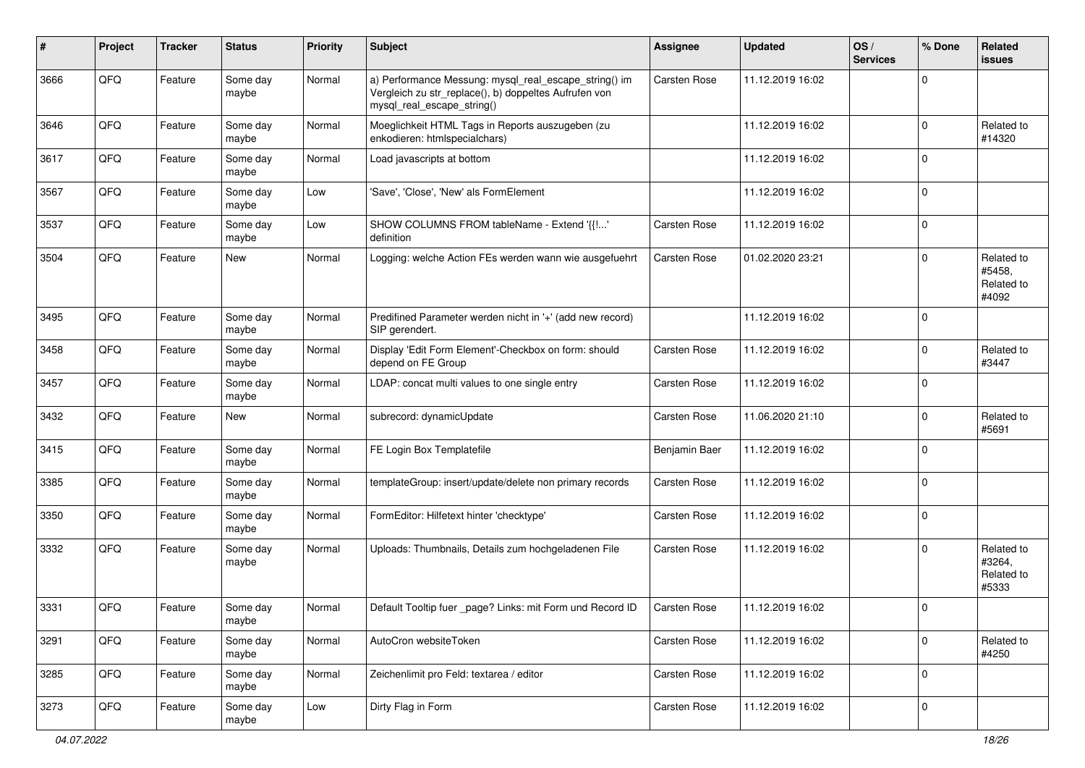| #    | Project | <b>Tracker</b> | <b>Status</b>     | <b>Priority</b> | <b>Subject</b>                                                                                                                               | <b>Assignee</b>     | <b>Updated</b>   | OS/<br><b>Services</b> | % Done      | Related<br>issues                           |
|------|---------|----------------|-------------------|-----------------|----------------------------------------------------------------------------------------------------------------------------------------------|---------------------|------------------|------------------------|-------------|---------------------------------------------|
| 3666 | QFQ     | Feature        | Some day<br>maybe | Normal          | a) Performance Messung: mysql_real_escape_string() im<br>Vergleich zu str_replace(), b) doppeltes Aufrufen von<br>mysql_real_escape_string() | Carsten Rose        | 11.12.2019 16:02 |                        | 0           |                                             |
| 3646 | QFQ     | Feature        | Some day<br>maybe | Normal          | Moeglichkeit HTML Tags in Reports auszugeben (zu<br>enkodieren: htmlspecialchars)                                                            |                     | 11.12.2019 16:02 |                        | 0           | Related to<br>#14320                        |
| 3617 | QFQ     | Feature        | Some day<br>maybe | Normal          | Load javascripts at bottom                                                                                                                   |                     | 11.12.2019 16:02 |                        | $\mathbf 0$ |                                             |
| 3567 | QFQ     | Feature        | Some day<br>maybe | Low             | 'Save', 'Close', 'New' als FormElement                                                                                                       |                     | 11.12.2019 16:02 |                        | $\Omega$    |                                             |
| 3537 | QFQ     | Feature        | Some day<br>maybe | Low             | SHOW COLUMNS FROM tableName - Extend '{{!'<br>definition                                                                                     | Carsten Rose        | 11.12.2019 16:02 |                        | 0           |                                             |
| 3504 | QFQ     | Feature        | <b>New</b>        | Normal          | Logging: welche Action FEs werden wann wie ausgefuehrt                                                                                       | Carsten Rose        | 01.02.2020 23:21 |                        | 0           | Related to<br>#5458,<br>Related to<br>#4092 |
| 3495 | QFQ     | Feature        | Some day<br>maybe | Normal          | Predifined Parameter werden nicht in '+' (add new record)<br>SIP gerendert.                                                                  |                     | 11.12.2019 16:02 |                        | $\Omega$    |                                             |
| 3458 | QFQ     | Feature        | Some day<br>maybe | Normal          | Display 'Edit Form Element'-Checkbox on form: should<br>depend on FE Group                                                                   | Carsten Rose        | 11.12.2019 16:02 |                        | 0           | Related to<br>#3447                         |
| 3457 | QFQ     | Feature        | Some day<br>maybe | Normal          | LDAP: concat multi values to one single entry                                                                                                | Carsten Rose        | 11.12.2019 16:02 |                        | 0           |                                             |
| 3432 | QFQ     | Feature        | New               | Normal          | subrecord: dynamicUpdate                                                                                                                     | Carsten Rose        | 11.06.2020 21:10 |                        | 0           | Related to<br>#5691                         |
| 3415 | QFQ     | Feature        | Some day<br>maybe | Normal          | FE Login Box Templatefile                                                                                                                    | Benjamin Baer       | 11.12.2019 16:02 |                        | $\mathbf 0$ |                                             |
| 3385 | QFQ     | Feature        | Some day<br>maybe | Normal          | templateGroup: insert/update/delete non primary records                                                                                      | Carsten Rose        | 11.12.2019 16:02 |                        | $\mathbf 0$ |                                             |
| 3350 | QFQ     | Feature        | Some day<br>maybe | Normal          | FormEditor: Hilfetext hinter 'checktype'                                                                                                     | Carsten Rose        | 11.12.2019 16:02 |                        | 0           |                                             |
| 3332 | QFQ     | Feature        | Some day<br>maybe | Normal          | Uploads: Thumbnails, Details zum hochgeladenen File                                                                                          | Carsten Rose        | 11.12.2019 16:02 |                        | $\Omega$    | Related to<br>#3264,<br>Related to<br>#5333 |
| 3331 | QFQ     | Feature        | Some day<br>maybe | Normal          | Default Tooltip fuer page? Links: mit Form und Record ID                                                                                     | <b>Carsten Rose</b> | 11.12.2019 16:02 |                        | $\Omega$    |                                             |
| 3291 | QFQ     | Feature        | Some day<br>maybe | Normal          | AutoCron websiteToken                                                                                                                        | Carsten Rose        | 11.12.2019 16:02 |                        | 0           | Related to<br>#4250                         |
| 3285 | QFG     | Feature        | Some day<br>maybe | Normal          | Zeichenlimit pro Feld: textarea / editor                                                                                                     | Carsten Rose        | 11.12.2019 16:02 |                        | $\pmb{0}$   |                                             |
| 3273 | QFQ     | Feature        | Some day<br>maybe | Low             | Dirty Flag in Form                                                                                                                           | Carsten Rose        | 11.12.2019 16:02 |                        | $\pmb{0}$   |                                             |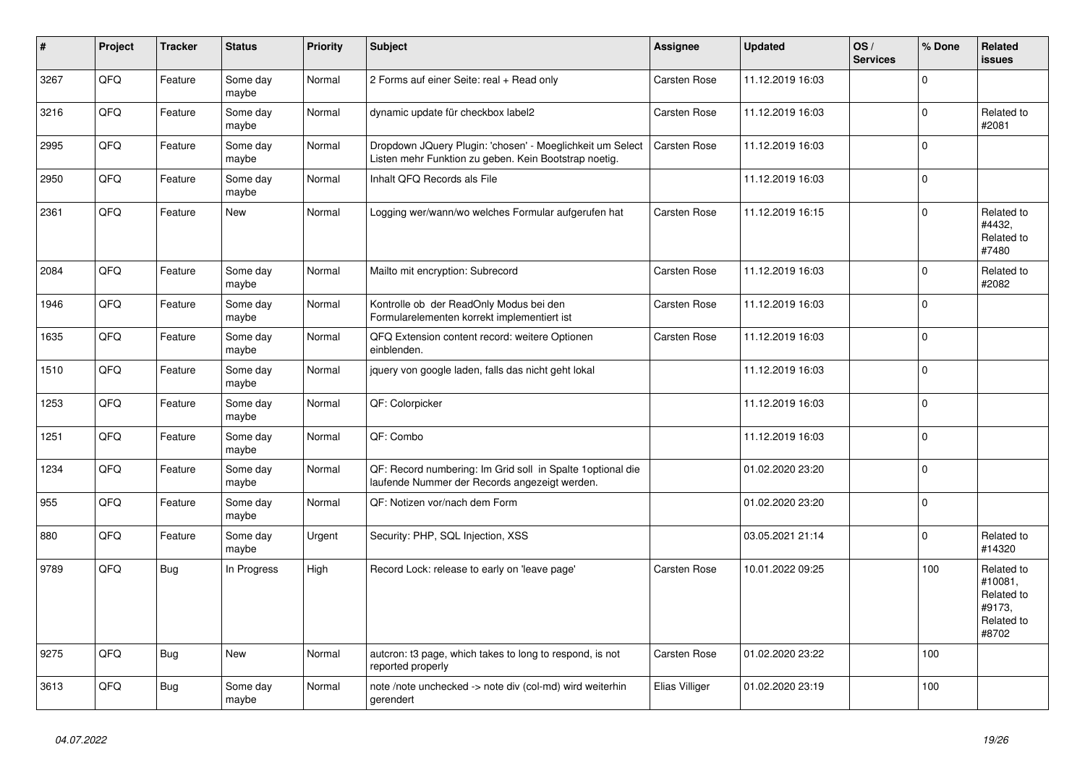| $\vert$ # | Project | <b>Tracker</b> | <b>Status</b>     | <b>Priority</b> | <b>Subject</b>                                                                                                     | <b>Assignee</b> | <b>Updated</b>   | OS/<br><b>Services</b> | % Done         | <b>Related</b><br><b>issues</b>                                      |
|-----------|---------|----------------|-------------------|-----------------|--------------------------------------------------------------------------------------------------------------------|-----------------|------------------|------------------------|----------------|----------------------------------------------------------------------|
| 3267      | QFQ     | Feature        | Some day<br>maybe | Normal          | 2 Forms auf einer Seite: real + Read only                                                                          | Carsten Rose    | 11.12.2019 16:03 |                        | $\Omega$       |                                                                      |
| 3216      | QFQ     | Feature        | Some day<br>maybe | Normal          | dynamic update für checkbox label2                                                                                 | Carsten Rose    | 11.12.2019 16:03 |                        | 0              | Related to<br>#2081                                                  |
| 2995      | QFQ     | Feature        | Some day<br>maybe | Normal          | Dropdown JQuery Plugin: 'chosen' - Moeglichkeit um Select<br>Listen mehr Funktion zu geben. Kein Bootstrap noetig. | Carsten Rose    | 11.12.2019 16:03 |                        | $\Omega$       |                                                                      |
| 2950      | QFQ     | Feature        | Some day<br>maybe | Normal          | Inhalt QFQ Records als File                                                                                        |                 | 11.12.2019 16:03 |                        | $\Omega$       |                                                                      |
| 2361      | QFQ     | Feature        | New               | Normal          | Logging wer/wann/wo welches Formular aufgerufen hat                                                                | Carsten Rose    | 11.12.2019 16:15 |                        | $\mathbf 0$    | Related to<br>#4432,<br>Related to<br>#7480                          |
| 2084      | QFQ     | Feature        | Some day<br>maybe | Normal          | Mailto mit encryption: Subrecord                                                                                   | Carsten Rose    | 11.12.2019 16:03 |                        | $\overline{0}$ | Related to<br>#2082                                                  |
| 1946      | QFQ     | Feature        | Some day<br>maybe | Normal          | Kontrolle ob der ReadOnly Modus bei den<br>Formularelementen korrekt implementiert ist                             | Carsten Rose    | 11.12.2019 16:03 |                        | 0              |                                                                      |
| 1635      | QFQ     | Feature        | Some day<br>maybe | Normal          | QFQ Extension content record: weitere Optionen<br>einblenden.                                                      | Carsten Rose    | 11.12.2019 16:03 |                        | $\Omega$       |                                                                      |
| 1510      | QFQ     | Feature        | Some day<br>maybe | Normal          | jquery von google laden, falls das nicht geht lokal                                                                |                 | 11.12.2019 16:03 |                        | $\overline{0}$ |                                                                      |
| 1253      | QFQ     | Feature        | Some day<br>maybe | Normal          | QF: Colorpicker                                                                                                    |                 | 11.12.2019 16:03 |                        | $\Omega$       |                                                                      |
| 1251      | QFQ     | Feature        | Some day<br>maybe | Normal          | QF: Combo                                                                                                          |                 | 11.12.2019 16:03 |                        | 0              |                                                                      |
| 1234      | QFQ     | Feature        | Some day<br>maybe | Normal          | QF: Record numbering: Im Grid soll in Spalte 1 optional die<br>laufende Nummer der Records angezeigt werden.       |                 | 01.02.2020 23:20 |                        | $\Omega$       |                                                                      |
| 955       | QFQ     | Feature        | Some day<br>maybe | Normal          | QF: Notizen vor/nach dem Form                                                                                      |                 | 01.02.2020 23:20 |                        | $\Omega$       |                                                                      |
| 880       | QFQ     | Feature        | Some day<br>maybe | Urgent          | Security: PHP, SQL Injection, XSS                                                                                  |                 | 03.05.2021 21:14 |                        | 0              | Related to<br>#14320                                                 |
| 9789      | QFQ     | Bug            | In Progress       | High            | Record Lock: release to early on 'leave page'                                                                      | Carsten Rose    | 10.01.2022 09:25 |                        | 100            | Related to<br>#10081,<br>Related to<br>#9173,<br>Related to<br>#8702 |
| 9275      | QFQ     | Bug            | <b>New</b>        | Normal          | autcron: t3 page, which takes to long to respond, is not<br>reported properly                                      | Carsten Rose    | 01.02.2020 23:22 |                        | 100            |                                                                      |
| 3613      | QFQ     | Bug            | Some day<br>maybe | Normal          | note /note unchecked -> note div (col-md) wird weiterhin<br>gerendert                                              | Elias Villiger  | 01.02.2020 23:19 |                        | 100            |                                                                      |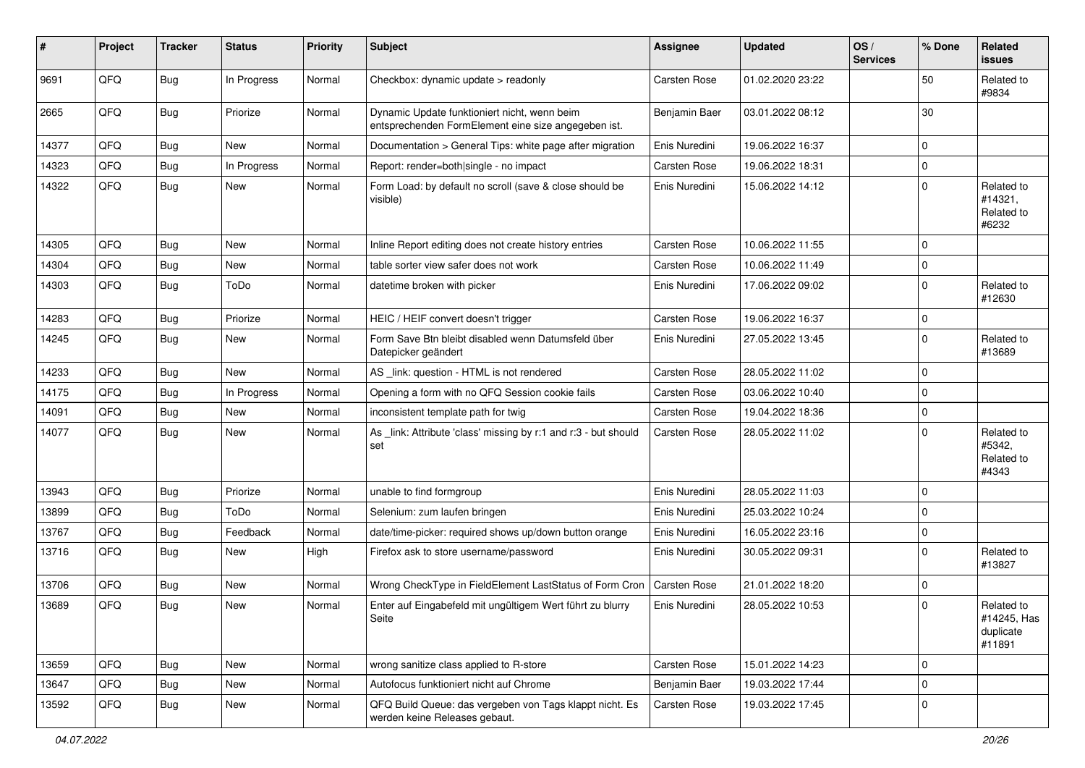| #     | Project | <b>Tracker</b> | <b>Status</b> | <b>Priority</b> | Subject                                                                                             | <b>Assignee</b>     | <b>Updated</b>   | OS/<br><b>Services</b> | % Done       | <b>Related</b><br>issues                         |
|-------|---------|----------------|---------------|-----------------|-----------------------------------------------------------------------------------------------------|---------------------|------------------|------------------------|--------------|--------------------------------------------------|
| 9691  | QFQ     | Bug            | In Progress   | Normal          | Checkbox: dynamic update > readonly                                                                 | Carsten Rose        | 01.02.2020 23:22 |                        | 50           | Related to<br>#9834                              |
| 2665  | QFQ     | Bug            | Priorize      | Normal          | Dynamic Update funktioniert nicht, wenn beim<br>entsprechenden FormElement eine size angegeben ist. | Benjamin Baer       | 03.01.2022 08:12 |                        | 30           |                                                  |
| 14377 | QFQ     | <b>Bug</b>     | <b>New</b>    | Normal          | Documentation > General Tips: white page after migration                                            | Enis Nuredini       | 19.06.2022 16:37 |                        | $\mathbf{0}$ |                                                  |
| 14323 | QFQ     | <b>Bug</b>     | In Progress   | Normal          | Report: render=both single - no impact                                                              | Carsten Rose        | 19.06.2022 18:31 |                        | $\mathbf 0$  |                                                  |
| 14322 | QFQ     | <b>Bug</b>     | <b>New</b>    | Normal          | Form Load: by default no scroll (save & close should be<br>visible)                                 | Enis Nuredini       | 15.06.2022 14:12 |                        | 0            | Related to<br>#14321,<br>Related to<br>#6232     |
| 14305 | QFQ     | <b>Bug</b>     | <b>New</b>    | Normal          | Inline Report editing does not create history entries                                               | Carsten Rose        | 10.06.2022 11:55 |                        | $\Omega$     |                                                  |
| 14304 | QFQ     | <b>Bug</b>     | <b>New</b>    | Normal          | table sorter view safer does not work                                                               | Carsten Rose        | 10.06.2022 11:49 |                        | $\mathbf 0$  |                                                  |
| 14303 | QFQ     | <b>Bug</b>     | ToDo          | Normal          | datetime broken with picker                                                                         | Enis Nuredini       | 17.06.2022 09:02 |                        | $\mathbf 0$  | Related to<br>#12630                             |
| 14283 | QFQ     | <b>Bug</b>     | Priorize      | Normal          | HEIC / HEIF convert doesn't trigger                                                                 | Carsten Rose        | 19.06.2022 16:37 |                        | $\mathbf 0$  |                                                  |
| 14245 | QFQ     | <b>Bug</b>     | <b>New</b>    | Normal          | Form Save Btn bleibt disabled wenn Datumsfeld über<br>Datepicker geändert                           | Enis Nuredini       | 27.05.2022 13:45 |                        | $\mathbf 0$  | Related to<br>#13689                             |
| 14233 | QFQ     | <b>Bug</b>     | <b>New</b>    | Normal          | AS _link: question - HTML is not rendered                                                           | Carsten Rose        | 28.05.2022 11:02 |                        | $\Omega$     |                                                  |
| 14175 | QFQ     | <b>Bug</b>     | In Progress   | Normal          | Opening a form with no QFQ Session cookie fails                                                     | Carsten Rose        | 03.06.2022 10:40 |                        | $\Omega$     |                                                  |
| 14091 | QFQ     | <b>Bug</b>     | <b>New</b>    | Normal          | inconsistent template path for twig                                                                 | Carsten Rose        | 19.04.2022 18:36 |                        | $\mathbf 0$  |                                                  |
| 14077 | QFQ     | Bug            | <b>New</b>    | Normal          | As _link: Attribute 'class' missing by r:1 and r:3 - but should<br>set                              | Carsten Rose        | 28.05.2022 11:02 |                        | $\mathbf 0$  | Related to<br>#5342,<br>Related to<br>#4343      |
| 13943 | QFQ     | <b>Bug</b>     | Priorize      | Normal          | unable to find formgroup                                                                            | Enis Nuredini       | 28.05.2022 11:03 |                        | 0            |                                                  |
| 13899 | QFQ     | <b>Bug</b>     | ToDo          | Normal          | Selenium: zum laufen bringen                                                                        | Enis Nuredini       | 25.03.2022 10:24 |                        | $\mathbf 0$  |                                                  |
| 13767 | QFQ     | <b>Bug</b>     | Feedback      | Normal          | date/time-picker: required shows up/down button orange                                              | Enis Nuredini       | 16.05.2022 23:16 |                        | $\mathbf{0}$ |                                                  |
| 13716 | QFQ     | Bug            | <b>New</b>    | High            | Firefox ask to store username/password                                                              | Enis Nuredini       | 30.05.2022 09:31 |                        | $\Omega$     | Related to<br>#13827                             |
| 13706 | QFQ     | <b>Bug</b>     | <b>New</b>    | Normal          | Wrong CheckType in FieldElement LastStatus of Form Cron                                             | <b>Carsten Rose</b> | 21.01.2022 18:20 |                        | 0            |                                                  |
| 13689 | QFQ     | <b>Bug</b>     | New           | Normal          | Enter auf Eingabefeld mit ungültigem Wert führt zu blurry<br>Seite                                  | Enis Nuredini       | 28.05.2022 10:53 |                        | $\mathbf 0$  | Related to<br>#14245, Has<br>duplicate<br>#11891 |
| 13659 | QFQ     | Bug            | <b>New</b>    | Normal          | wrong sanitize class applied to R-store                                                             | Carsten Rose        | 15.01.2022 14:23 |                        | $\mathbf 0$  |                                                  |
| 13647 | QFQ     | <b>Bug</b>     | New           | Normal          | Autofocus funktioniert nicht auf Chrome                                                             | Benjamin Baer       | 19.03.2022 17:44 |                        | 0            |                                                  |
| 13592 | QFQ     | Bug            | New           | Normal          | QFQ Build Queue: das vergeben von Tags klappt nicht. Es<br>werden keine Releases gebaut.            | Carsten Rose        | 19.03.2022 17:45 |                        | 0            |                                                  |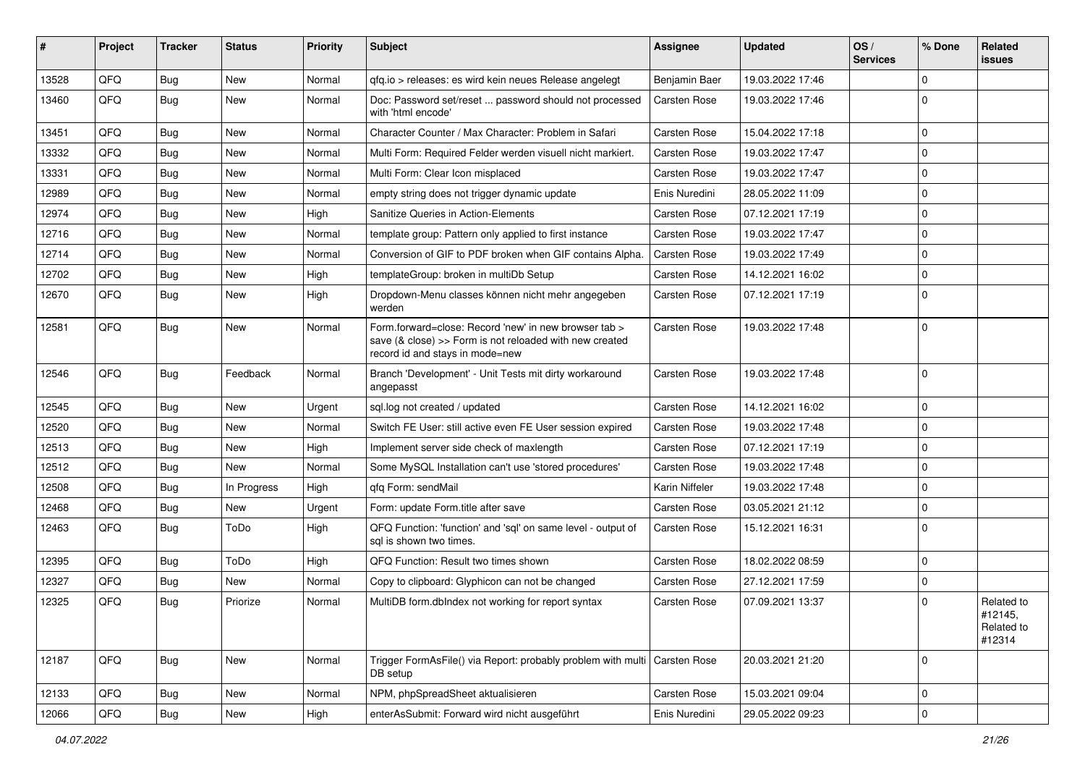| #     | Project | <b>Tracker</b> | <b>Status</b> | <b>Priority</b> | <b>Subject</b>                                                                                                                                      | Assignee            | <b>Updated</b>   | OS/<br><b>Services</b> | % Done      | Related<br>issues                             |
|-------|---------|----------------|---------------|-----------------|-----------------------------------------------------------------------------------------------------------------------------------------------------|---------------------|------------------|------------------------|-------------|-----------------------------------------------|
| 13528 | QFQ     | <b>Bug</b>     | <b>New</b>    | Normal          | gfg.io > releases: es wird kein neues Release angelegt                                                                                              | Benjamin Baer       | 19.03.2022 17:46 |                        | $\mathbf 0$ |                                               |
| 13460 | QFQ     | <b>Bug</b>     | <b>New</b>    | Normal          | Doc: Password set/reset  password should not processed<br>with 'html encode'                                                                        | <b>Carsten Rose</b> | 19.03.2022 17:46 |                        | $\Omega$    |                                               |
| 13451 | QFQ     | Bug            | <b>New</b>    | Normal          | Character Counter / Max Character: Problem in Safari                                                                                                | <b>Carsten Rose</b> | 15.04.2022 17:18 |                        | $\mathbf 0$ |                                               |
| 13332 | QFQ     | Bug            | <b>New</b>    | Normal          | Multi Form: Required Felder werden visuell nicht markiert.                                                                                          | <b>Carsten Rose</b> | 19.03.2022 17:47 |                        | $\mathbf 0$ |                                               |
| 13331 | QFQ     | <b>Bug</b>     | <b>New</b>    | Normal          | Multi Form: Clear Icon misplaced                                                                                                                    | <b>Carsten Rose</b> | 19.03.2022 17:47 |                        | $\mathbf 0$ |                                               |
| 12989 | QFQ     | Bug            | New           | Normal          | empty string does not trigger dynamic update                                                                                                        | Enis Nuredini       | 28.05.2022 11:09 |                        | 0           |                                               |
| 12974 | QFQ     | <b>Bug</b>     | <b>New</b>    | High            | Sanitize Queries in Action-Elements                                                                                                                 | <b>Carsten Rose</b> | 07.12.2021 17:19 |                        | $\mathbf 0$ |                                               |
| 12716 | QFQ     | <b>Bug</b>     | <b>New</b>    | Normal          | template group: Pattern only applied to first instance                                                                                              | Carsten Rose        | 19.03.2022 17:47 |                        | $\mathbf 0$ |                                               |
| 12714 | QFQ     | Bug            | <b>New</b>    | Normal          | Conversion of GIF to PDF broken when GIF contains Alpha.                                                                                            | <b>Carsten Rose</b> | 19.03.2022 17:49 |                        | $\mathbf 0$ |                                               |
| 12702 | QFQ     | <b>Bug</b>     | <b>New</b>    | High            | templateGroup: broken in multiDb Setup                                                                                                              | <b>Carsten Rose</b> | 14.12.2021 16:02 |                        | $\mathbf 0$ |                                               |
| 12670 | QFQ     | Bug            | New           | High            | Dropdown-Menu classes können nicht mehr angegeben<br>werden                                                                                         | Carsten Rose        | 07.12.2021 17:19 |                        | $\mathbf 0$ |                                               |
| 12581 | QFQ     | Bug            | <b>New</b>    | Normal          | Form.forward=close: Record 'new' in new browser tab ><br>save (& close) >> Form is not reloaded with new created<br>record id and stays in mode=new | <b>Carsten Rose</b> | 19.03.2022 17:48 |                        | $\mathbf 0$ |                                               |
| 12546 | QFQ     | <b>Bug</b>     | Feedback      | Normal          | Branch 'Development' - Unit Tests mit dirty workaround<br>angepasst                                                                                 | <b>Carsten Rose</b> | 19.03.2022 17:48 |                        | $\mathbf 0$ |                                               |
| 12545 | QFQ     | Bug            | New           | Urgent          | sql.log not created / updated                                                                                                                       | <b>Carsten Rose</b> | 14.12.2021 16:02 |                        | $\mathbf 0$ |                                               |
| 12520 | QFQ     | Bug            | <b>New</b>    | Normal          | Switch FE User: still active even FE User session expired                                                                                           | <b>Carsten Rose</b> | 19.03.2022 17:48 |                        | $\mathbf 0$ |                                               |
| 12513 | QFQ     | <b>Bug</b>     | New           | High            | Implement server side check of maxlength                                                                                                            | <b>Carsten Rose</b> | 07.12.2021 17:19 |                        | $\mathbf 0$ |                                               |
| 12512 | QFQ     | <b>Bug</b>     | New           | Normal          | Some MySQL Installation can't use 'stored procedures'                                                                                               | <b>Carsten Rose</b> | 19.03.2022 17:48 |                        | $\mathbf 0$ |                                               |
| 12508 | QFQ     | <b>Bug</b>     | In Progress   | High            | gfg Form: sendMail                                                                                                                                  | Karin Niffeler      | 19.03.2022 17:48 |                        | 0           |                                               |
| 12468 | QFQ     | <b>Bug</b>     | <b>New</b>    | Urgent          | Form: update Form.title after save                                                                                                                  | <b>Carsten Rose</b> | 03.05.2021 21:12 |                        | $\mathbf 0$ |                                               |
| 12463 | QFQ     | Bug            | ToDo          | High            | QFQ Function: 'function' and 'sql' on same level - output of<br>sql is shown two times.                                                             | <b>Carsten Rose</b> | 15.12.2021 16:31 |                        | $\Omega$    |                                               |
| 12395 | QFQ     | <b>Bug</b>     | ToDo          | High            | QFQ Function: Result two times shown                                                                                                                | <b>Carsten Rose</b> | 18.02.2022 08:59 |                        | 0           |                                               |
| 12327 | QFQ     | Bug            | <b>New</b>    | Normal          | Copy to clipboard: Glyphicon can not be changed                                                                                                     | <b>Carsten Rose</b> | 27.12.2021 17:59 |                        | $\mathbf 0$ |                                               |
| 12325 | QFQ     | <b>Bug</b>     | Priorize      | Normal          | MultiDB form.dblndex not working for report syntax                                                                                                  | Carsten Rose        | 07.09.2021 13:37 |                        | $\Omega$    | Related to<br>#12145,<br>Related to<br>#12314 |
| 12187 | QFQ     | Bug            | New           | Normal          | Trigger FormAsFile() via Report: probably problem with multi Carsten Rose<br>DB setup                                                               |                     | 20.03.2021 21:20 |                        | $\mathbf 0$ |                                               |
| 12133 | QFQ     | <b>Bug</b>     | New           | Normal          | NPM, phpSpreadSheet aktualisieren                                                                                                                   | Carsten Rose        | 15.03.2021 09:04 |                        | 0           |                                               |
| 12066 | QFQ     | Bug            | New           | High            | enterAsSubmit: Forward wird nicht ausgeführt                                                                                                        | Enis Nuredini       | 29.05.2022 09:23 |                        | $\pmb{0}$   |                                               |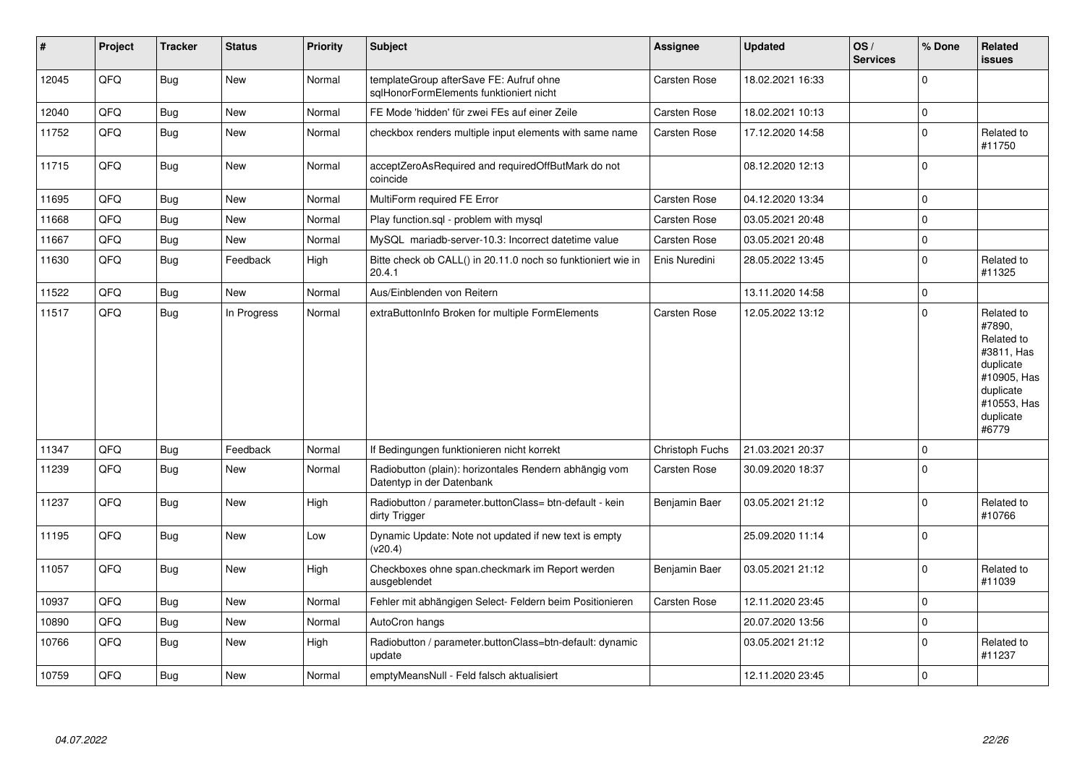| #     | Project | <b>Tracker</b> | <b>Status</b> | <b>Priority</b> | <b>Subject</b>                                                                      | <b>Assignee</b>     | <b>Updated</b>   | OS/<br><b>Services</b> | % Done       | <b>Related</b><br>issues                                                                                                       |
|-------|---------|----------------|---------------|-----------------|-------------------------------------------------------------------------------------|---------------------|------------------|------------------------|--------------|--------------------------------------------------------------------------------------------------------------------------------|
| 12045 | QFQ     | Bug            | New           | Normal          | templateGroup afterSave FE: Aufruf ohne<br>sqlHonorFormElements funktioniert nicht  | <b>Carsten Rose</b> | 18.02.2021 16:33 |                        | <sup>0</sup> |                                                                                                                                |
| 12040 | QFQ     | Bug            | <b>New</b>    | Normal          | FE Mode 'hidden' für zwei FEs auf einer Zeile                                       | <b>Carsten Rose</b> | 18.02.2021 10:13 |                        | 0            |                                                                                                                                |
| 11752 | QFQ     | Bug            | <b>New</b>    | Normal          | checkbox renders multiple input elements with same name                             | Carsten Rose        | 17.12.2020 14:58 |                        | $\mathbf 0$  | Related to<br>#11750                                                                                                           |
| 11715 | QFQ     | <b>Bug</b>     | <b>New</b>    | Normal          | acceptZeroAsRequired and requiredOffButMark do not<br>coincide                      |                     | 08.12.2020 12:13 |                        | $\Omega$     |                                                                                                                                |
| 11695 | QFQ     | Bug            | <b>New</b>    | Normal          | MultiForm required FE Error                                                         | <b>Carsten Rose</b> | 04.12.2020 13:34 |                        | 0            |                                                                                                                                |
| 11668 | QFQ     | <b>Bug</b>     | <b>New</b>    | Normal          | Play function.sql - problem with mysql                                              | Carsten Rose        | 03.05.2021 20:48 |                        | $\Omega$     |                                                                                                                                |
| 11667 | QFQ     | Bug            | <b>New</b>    | Normal          | MySQL mariadb-server-10.3: Incorrect datetime value                                 | <b>Carsten Rose</b> | 03.05.2021 20:48 |                        | $\Omega$     |                                                                                                                                |
| 11630 | QFQ     | Bug            | Feedback      | High            | Bitte check ob CALL() in 20.11.0 noch so funktioniert wie in<br>20.4.1              | Enis Nuredini       | 28.05.2022 13:45 |                        | $\mathbf 0$  | Related to<br>#11325                                                                                                           |
| 11522 | QFQ     | <b>Bug</b>     | <b>New</b>    | Normal          | Aus/Einblenden von Reitern                                                          |                     | 13.11.2020 14:58 |                        | 0            |                                                                                                                                |
| 11517 | QFQ     | <b>Bug</b>     | In Progress   | Normal          | extraButtonInfo Broken for multiple FormElements                                    | Carsten Rose        | 12.05.2022 13:12 |                        | $\Omega$     | Related to<br>#7890,<br>Related to<br>#3811, Has<br>duplicate<br>#10905, Has<br>duplicate<br>#10553, Has<br>duplicate<br>#6779 |
| 11347 | QFQ     | Bug            | Feedback      | Normal          | If Bedingungen funktionieren nicht korrekt                                          | Christoph Fuchs     | 21.03.2021 20:37 |                        | 0            |                                                                                                                                |
| 11239 | QFQ     | Bug            | New           | Normal          | Radiobutton (plain): horizontales Rendern abhängig vom<br>Datentyp in der Datenbank | Carsten Rose        | 30.09.2020 18:37 |                        | 0            |                                                                                                                                |
| 11237 | QFQ     | <b>Bug</b>     | <b>New</b>    | High            | Radiobutton / parameter.buttonClass= btn-default - kein<br>dirty Trigger            | Benjamin Baer       | 03.05.2021 21:12 |                        | $\Omega$     | Related to<br>#10766                                                                                                           |
| 11195 | QFQ     | Bug            | New           | Low             | Dynamic Update: Note not updated if new text is empty<br>(v20.4)                    |                     | 25.09.2020 11:14 |                        | $\mathbf 0$  |                                                                                                                                |
| 11057 | QFQ     | Bug            | <b>New</b>    | High            | Checkboxes ohne span.checkmark im Report werden<br>ausgeblendet                     | Benjamin Baer       | 03.05.2021 21:12 |                        | $\Omega$     | Related to<br>#11039                                                                                                           |
| 10937 | QFQ     | <b>Bug</b>     | <b>New</b>    | Normal          | Fehler mit abhängigen Select- Feldern beim Positionieren                            | Carsten Rose        | 12.11.2020 23:45 |                        | 0            |                                                                                                                                |
| 10890 | QFQ     | <b>Bug</b>     | <b>New</b>    | Normal          | AutoCron hangs                                                                      |                     | 20.07.2020 13:56 |                        | $\Omega$     |                                                                                                                                |
| 10766 | QFQ     | Bug            | New           | High            | Radiobutton / parameter.buttonClass=btn-default: dynamic<br>update                  |                     | 03.05.2021 21:12 |                        | $\mathbf 0$  | Related to<br>#11237                                                                                                           |
| 10759 | QFQ     | Bug            | New           | Normal          | emptyMeansNull - Feld falsch aktualisiert                                           |                     | 12.11.2020 23:45 |                        | 0            |                                                                                                                                |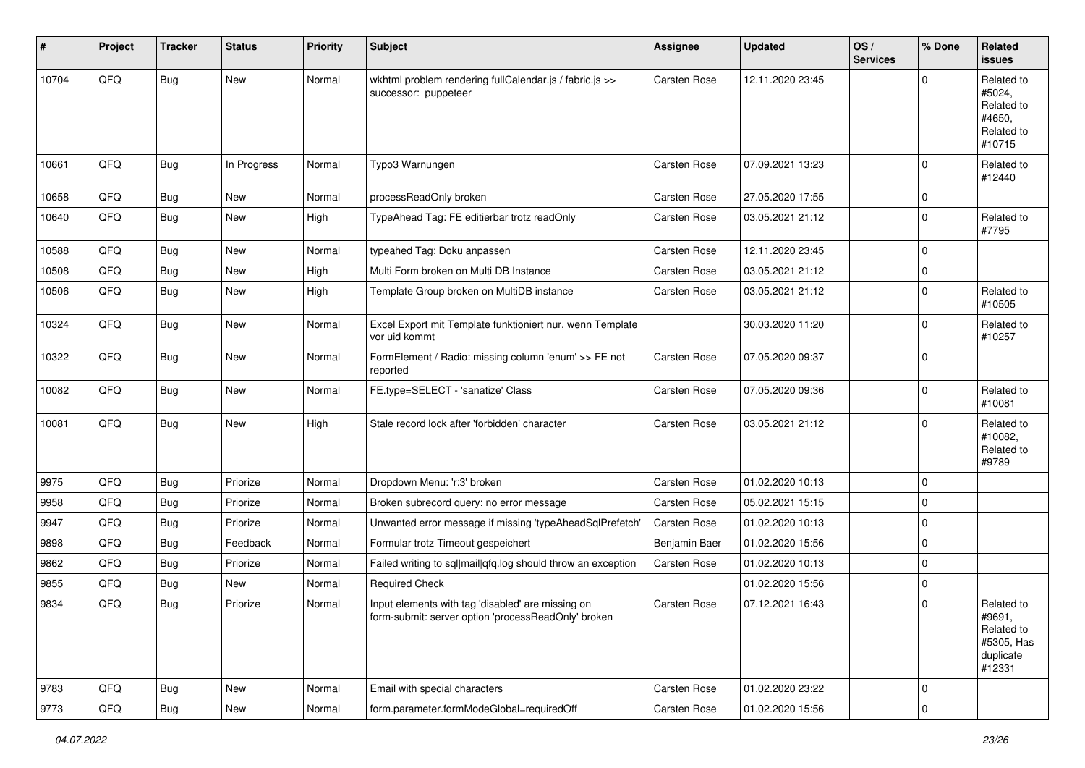| #     | Project        | <b>Tracker</b> | <b>Status</b> | <b>Priority</b> | Subject                                                                                                  | <b>Assignee</b>     | <b>Updated</b>   | OS/<br><b>Services</b> | % Done      | <b>Related</b><br>issues                                                |
|-------|----------------|----------------|---------------|-----------------|----------------------------------------------------------------------------------------------------------|---------------------|------------------|------------------------|-------------|-------------------------------------------------------------------------|
| 10704 | QFQ            | Bug            | New           | Normal          | wkhtml problem rendering fullCalendar.js / fabric.js >><br>successor: puppeteer                          | <b>Carsten Rose</b> | 12.11.2020 23:45 |                        | $\Omega$    | Related to<br>#5024,<br>Related to<br>#4650.<br>Related to<br>#10715    |
| 10661 | QFQ            | Bug            | In Progress   | Normal          | Typo3 Warnungen                                                                                          | <b>Carsten Rose</b> | 07.09.2021 13:23 |                        | 0           | Related to<br>#12440                                                    |
| 10658 | QFQ            | <b>Bug</b>     | New           | Normal          | processReadOnly broken                                                                                   | Carsten Rose        | 27.05.2020 17:55 |                        | $\mathbf 0$ |                                                                         |
| 10640 | QFQ            | <b>Bug</b>     | New           | High            | TypeAhead Tag: FE editierbar trotz readOnly                                                              | Carsten Rose        | 03.05.2021 21:12 |                        | 0           | Related to<br>#7795                                                     |
| 10588 | QFQ            | <b>Bug</b>     | <b>New</b>    | Normal          | typeahed Tag: Doku anpassen                                                                              | <b>Carsten Rose</b> | 12.11.2020 23:45 |                        | 0           |                                                                         |
| 10508 | QFQ            | Bug            | New           | High            | Multi Form broken on Multi DB Instance                                                                   | Carsten Rose        | 03.05.2021 21:12 |                        | 0           |                                                                         |
| 10506 | QFQ            | <b>Bug</b>     | New           | High            | Template Group broken on MultiDB instance                                                                | <b>Carsten Rose</b> | 03.05.2021 21:12 |                        | 0           | Related to<br>#10505                                                    |
| 10324 | QFQ            | <b>Bug</b>     | New           | Normal          | Excel Export mit Template funktioniert nur, wenn Template<br>vor uid kommt                               |                     | 30.03.2020 11:20 |                        | 0           | Related to<br>#10257                                                    |
| 10322 | QFQ            | <b>Bug</b>     | New           | Normal          | FormElement / Radio: missing column 'enum' >> FE not<br>reported                                         | Carsten Rose        | 07.05.2020 09:37 |                        | $\mathbf 0$ |                                                                         |
| 10082 | QFQ            | Bug            | New           | Normal          | FE.type=SELECT - 'sanatize' Class                                                                        | <b>Carsten Rose</b> | 07.05.2020 09:36 |                        | $\mathbf 0$ | Related to<br>#10081                                                    |
| 10081 | QFQ            | <b>Bug</b>     | New           | High            | Stale record lock after 'forbidden' character                                                            | Carsten Rose        | 03.05.2021 21:12 |                        | $\Omega$    | Related to<br>#10082,<br>Related to<br>#9789                            |
| 9975  | QFQ            | Bug            | Priorize      | Normal          | Dropdown Menu: 'r:3' broken                                                                              | <b>Carsten Rose</b> | 01.02.2020 10:13 |                        | 0           |                                                                         |
| 9958  | QFQ            | Bug            | Priorize      | Normal          | Broken subrecord query: no error message                                                                 | Carsten Rose        | 05.02.2021 15:15 |                        | 0           |                                                                         |
| 9947  | QFQ            | Bug            | Priorize      | Normal          | Unwanted error message if missing 'typeAheadSqlPrefetch'                                                 | Carsten Rose        | 01.02.2020 10:13 |                        | 0           |                                                                         |
| 9898  | QFQ            | <b>Bug</b>     | Feedback      | Normal          | Formular trotz Timeout gespeichert                                                                       | Benjamin Baer       | 01.02.2020 15:56 |                        | $\mathbf 0$ |                                                                         |
| 9862  | QFQ            | <b>Bug</b>     | Priorize      | Normal          | Failed writing to sql mail qfq.log should throw an exception                                             | Carsten Rose        | 01.02.2020 10:13 |                        | 0           |                                                                         |
| 9855  | QFQ            | Bug            | New           | Normal          | <b>Required Check</b>                                                                                    |                     | 01.02.2020 15:56 |                        | $\mathbf 0$ |                                                                         |
| 9834  | QFQ            | <b>Bug</b>     | Priorize      | Normal          | Input elements with tag 'disabled' are missing on<br>form-submit: server option 'processHeadOnly' broken | <b>Carsten Rose</b> | 07.12.2021 16:43 |                        | 0           | Related to<br>#9691,<br>Related to<br>#5305, Has<br>duplicate<br>#12331 |
| 9783  | QFQ            | <b>Bug</b>     | New           | Normal          | Email with special characters                                                                            | Carsten Rose        | 01.02.2020 23:22 |                        | 0           |                                                                         |
| 9773  | $\mathsf{QFQ}$ | <b>Bug</b>     | New           | Normal          | form.parameter.formModeGlobal=requiredOff                                                                | Carsten Rose        | 01.02.2020 15:56 |                        | 0           |                                                                         |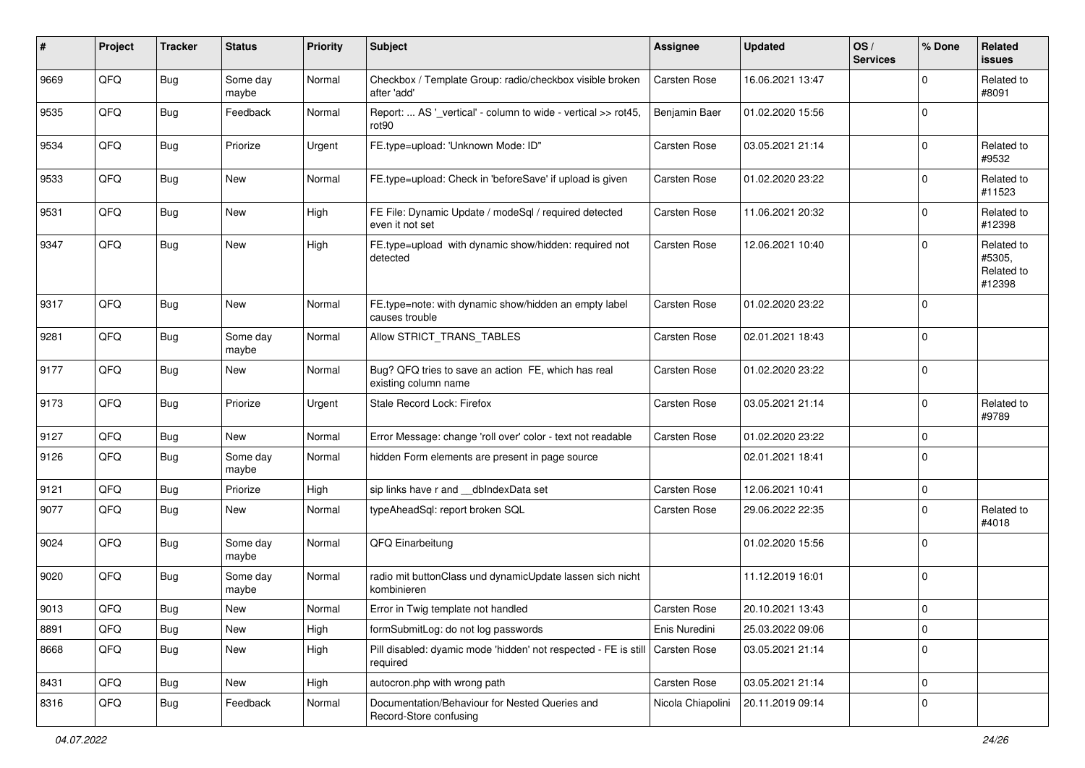| #    | Project | <b>Tracker</b> | <b>Status</b>     | <b>Priority</b> | <b>Subject</b>                                                              | <b>Assignee</b>   | <b>Updated</b>   | OS/<br><b>Services</b> | % Done      | Related<br>issues                            |
|------|---------|----------------|-------------------|-----------------|-----------------------------------------------------------------------------|-------------------|------------------|------------------------|-------------|----------------------------------------------|
| 9669 | QFQ     | Bug            | Some day<br>maybe | Normal          | Checkbox / Template Group: radio/checkbox visible broken<br>after 'add'     | Carsten Rose      | 16.06.2021 13:47 |                        | $\Omega$    | Related to<br>#8091                          |
| 9535 | QFQ     | Bug            | Feedback          | Normal          | Report:  AS '_vertical' - column to wide - vertical >> rot45,<br>rot90      | Benjamin Baer     | 01.02.2020 15:56 |                        | $\mathbf 0$ |                                              |
| 9534 | QFQ     | Bug            | Priorize          | Urgent          | FE.type=upload: 'Unknown Mode: ID"                                          | Carsten Rose      | 03.05.2021 21:14 |                        | $\mathbf 0$ | Related to<br>#9532                          |
| 9533 | QFQ     | Bug            | New               | Normal          | FE.type=upload: Check in 'beforeSave' if upload is given                    | Carsten Rose      | 01.02.2020 23:22 |                        | $\mathbf 0$ | Related to<br>#11523                         |
| 9531 | QFQ     | Bug            | <b>New</b>        | High            | FE File: Dynamic Update / modeSql / required detected<br>even it not set    | Carsten Rose      | 11.06.2021 20:32 |                        | $\mathbf 0$ | Related to<br>#12398                         |
| 9347 | QFQ     | Bug            | New               | High            | FE.type=upload with dynamic show/hidden: required not<br>detected           | Carsten Rose      | 12.06.2021 10:40 |                        | $\Omega$    | Related to<br>#5305,<br>Related to<br>#12398 |
| 9317 | QFQ     | <b>Bug</b>     | <b>New</b>        | Normal          | FE.type=note: with dynamic show/hidden an empty label<br>causes trouble     | Carsten Rose      | 01.02.2020 23:22 |                        | $\mathbf 0$ |                                              |
| 9281 | QFQ     | Bug            | Some day<br>maybe | Normal          | Allow STRICT TRANS TABLES                                                   | Carsten Rose      | 02.01.2021 18:43 |                        | $\mathbf 0$ |                                              |
| 9177 | QFQ     | Bug            | <b>New</b>        | Normal          | Bug? QFQ tries to save an action FE, which has real<br>existing column name | Carsten Rose      | 01.02.2020 23:22 |                        | $\mathbf 0$ |                                              |
| 9173 | QFQ     | <b>Bug</b>     | Priorize          | Urgent          | Stale Record Lock: Firefox                                                  | Carsten Rose      | 03.05.2021 21:14 |                        | $\mathbf 0$ | Related to<br>#9789                          |
| 9127 | QFQ     | Bug            | <b>New</b>        | Normal          | Error Message: change 'roll over' color - text not readable                 | Carsten Rose      | 01.02.2020 23:22 |                        | $\mathbf 0$ |                                              |
| 9126 | QFQ     | <b>Bug</b>     | Some day<br>maybe | Normal          | hidden Form elements are present in page source                             |                   | 02.01.2021 18:41 |                        | $\mathbf 0$ |                                              |
| 9121 | QFQ     | <b>Bug</b>     | Priorize          | High            | sip links have r and __dbIndexData set                                      | Carsten Rose      | 12.06.2021 10:41 |                        | $\mathbf 0$ |                                              |
| 9077 | QFQ     | Bug            | New               | Normal          | typeAheadSql: report broken SQL                                             | Carsten Rose      | 29.06.2022 22:35 |                        | $\mathbf 0$ | Related to<br>#4018                          |
| 9024 | QFQ     | Bug            | Some day<br>maybe | Normal          | QFQ Einarbeitung                                                            |                   | 01.02.2020 15:56 |                        | $\mathbf 0$ |                                              |
| 9020 | QFQ     | Bug            | Some day<br>maybe | Normal          | radio mit buttonClass und dynamicUpdate lassen sich nicht<br>kombinieren    |                   | 11.12.2019 16:01 |                        | $\mathbf 0$ |                                              |
| 9013 | QFQ     | Bug            | New               | Normal          | Error in Twig template not handled                                          | Carsten Rose      | 20.10.2021 13:43 |                        | $\mathbf 0$ |                                              |
| 8891 | QFQ     | Bug            | New               | High            | formSubmitLog: do not log passwords                                         | Enis Nuredini     | 25.03.2022 09:06 |                        | $\pmb{0}$   |                                              |
| 8668 | QFQ     | <b>Bug</b>     | New               | High            | Pill disabled: dyamic mode 'hidden' not respected - FE is still<br>required | Carsten Rose      | 03.05.2021 21:14 |                        | $\mathbf 0$ |                                              |
| 8431 | QFQ     | Bug            | New               | High            | autocron.php with wrong path                                                | Carsten Rose      | 03.05.2021 21:14 |                        | 0           |                                              |
| 8316 | QFQ     | <b>Bug</b>     | Feedback          | Normal          | Documentation/Behaviour for Nested Queries and<br>Record-Store confusing    | Nicola Chiapolini | 20.11.2019 09:14 |                        | $\mathbf 0$ |                                              |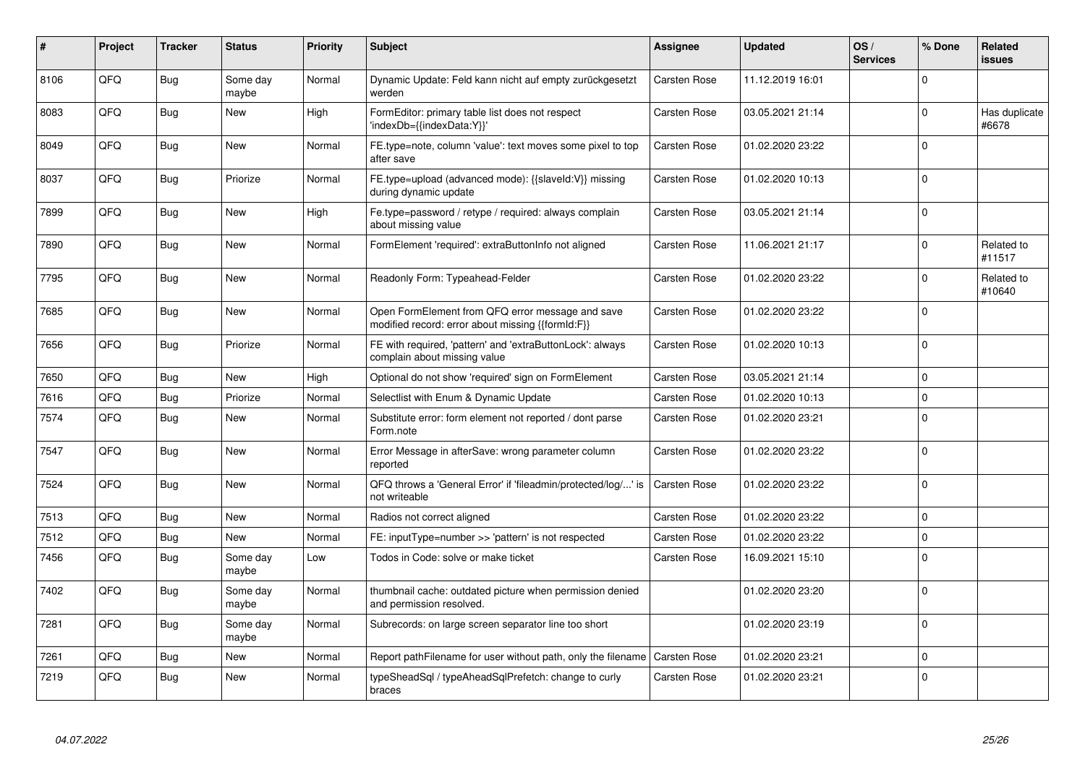| #    | Project | <b>Tracker</b> | <b>Status</b>     | <b>Priority</b> | <b>Subject</b>                                                                                        | Assignee            | <b>Updated</b>   | OS/<br><b>Services</b> | % Done      | Related<br>issues      |
|------|---------|----------------|-------------------|-----------------|-------------------------------------------------------------------------------------------------------|---------------------|------------------|------------------------|-------------|------------------------|
| 8106 | QFQ     | <b>Bug</b>     | Some day<br>maybe | Normal          | Dynamic Update: Feld kann nicht auf empty zurückgesetzt<br>werden                                     | Carsten Rose        | 11.12.2019 16:01 |                        | $\Omega$    |                        |
| 8083 | QFQ     | Bug            | <b>New</b>        | High            | FormEditor: primary table list does not respect<br>'indexDb={{indexData:Y}}'                          | Carsten Rose        | 03.05.2021 21:14 |                        | $\mathbf 0$ | Has duplicate<br>#6678 |
| 8049 | QFQ     | <b>Bug</b>     | <b>New</b>        | Normal          | FE.type=note, column 'value': text moves some pixel to top<br>after save                              | Carsten Rose        | 01.02.2020 23:22 |                        | $\Omega$    |                        |
| 8037 | QFQ     | Bug            | Priorize          | Normal          | FE.type=upload (advanced mode): {{slaveld:V}} missing<br>during dynamic update                        | Carsten Rose        | 01.02.2020 10:13 |                        | $\Omega$    |                        |
| 7899 | QFQ     | Bug            | New               | High            | Fe.type=password / retype / required: always complain<br>about missing value                          | <b>Carsten Rose</b> | 03.05.2021 21:14 |                        | $\Omega$    |                        |
| 7890 | QFQ     | Bug            | <b>New</b>        | Normal          | FormElement 'required': extraButtonInfo not aligned                                                   | Carsten Rose        | 11.06.2021 21:17 |                        | $\mathbf 0$ | Related to<br>#11517   |
| 7795 | QFQ     | <b>Bug</b>     | <b>New</b>        | Normal          | Readonly Form: Typeahead-Felder                                                                       | <b>Carsten Rose</b> | 01.02.2020 23:22 |                        | $\Omega$    | Related to<br>#10640   |
| 7685 | QFQ     | <b>Bug</b>     | New               | Normal          | Open FormElement from QFQ error message and save<br>modified record: error about missing {{formId:F}} | <b>Carsten Rose</b> | 01.02.2020 23:22 |                        | $\Omega$    |                        |
| 7656 | QFQ     | <b>Bug</b>     | Priorize          | Normal          | FE with required, 'pattern' and 'extraButtonLock': always<br>complain about missing value             | Carsten Rose        | 01.02.2020 10:13 |                        | $\mathbf 0$ |                        |
| 7650 | QFQ     | Bug            | <b>New</b>        | High            | Optional do not show 'required' sign on FormElement                                                   | Carsten Rose        | 03.05.2021 21:14 |                        | $\Omega$    |                        |
| 7616 | QFQ     | <b>Bug</b>     | Priorize          | Normal          | Selectlist with Enum & Dynamic Update                                                                 | <b>Carsten Rose</b> | 01.02.2020 10:13 |                        | $\Omega$    |                        |
| 7574 | QFQ     | Bug            | <b>New</b>        | Normal          | Substitute error: form element not reported / dont parse<br>Form.note                                 | Carsten Rose        | 01.02.2020 23:21 |                        | $\Omega$    |                        |
| 7547 | QFQ     | Bug            | <b>New</b>        | Normal          | Error Message in afterSave: wrong parameter column<br>reported                                        | <b>Carsten Rose</b> | 01.02.2020 23:22 |                        | $\mathbf 0$ |                        |
| 7524 | QFQ     | <b>Bug</b>     | <b>New</b>        | Normal          | QFQ throws a 'General Error' if 'fileadmin/protected/log/' is<br>not writeable                        | <b>Carsten Rose</b> | 01.02.2020 23:22 |                        | $\Omega$    |                        |
| 7513 | QFQ     | Bug            | New               | Normal          | Radios not correct aligned                                                                            | <b>Carsten Rose</b> | 01.02.2020 23:22 |                        | $\mathbf 0$ |                        |
| 7512 | QFQ     | Bug            | <b>New</b>        | Normal          | FE: inputType=number >> 'pattern' is not respected                                                    | <b>Carsten Rose</b> | 01.02.2020 23:22 |                        | $\Omega$    |                        |
| 7456 | QFQ     | <b>Bug</b>     | Some day<br>maybe | Low             | Todos in Code: solve or make ticket                                                                   | <b>Carsten Rose</b> | 16.09.2021 15:10 |                        | $\Omega$    |                        |
| 7402 | QFQ     | Bug            | Some day<br>maybe | Normal          | thumbnail cache: outdated picture when permission denied<br>and permission resolved.                  |                     | 01.02.2020 23:20 |                        | $\Omega$    |                        |
| 7281 | QFQ     | Bug            | Some day<br>maybe | Normal          | Subrecords: on large screen separator line too short                                                  |                     | 01.02.2020 23:19 |                        | $\Omega$    |                        |
| 7261 | QFQ     | Bug            | New               | Normal          | Report pathFilename for user without path, only the filename   Carsten Rose                           |                     | 01.02.2020 23:21 |                        | $\Omega$    |                        |
| 7219 | QFQ     | Bug            | New               | Normal          | typeSheadSql / typeAheadSqlPrefetch: change to curly<br>braces                                        | Carsten Rose        | 01.02.2020 23:21 |                        | $\Omega$    |                        |